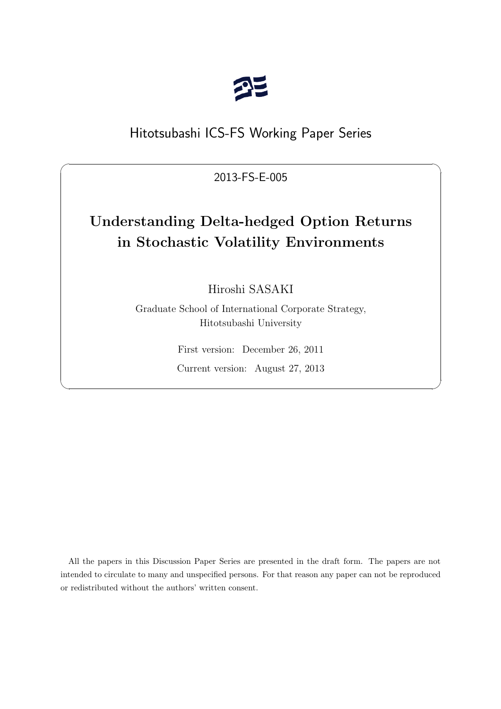

# Hitotsubashi ICS-FS Working Paper Series

2013-FS-E-005

 $\sqrt{2\pi}$ 

# **Understanding Delta-hedged Option Returns in Stochastic Volatility Environments**

Hiroshi SASAKI

Graduate School of International Corporate Strategy, Hitotsubashi University

> First version: December 26, 2011 Current version: August 27, 2013

✒ ✑

All the papers in this Discussion Paper Series are presented in the draft form. The papers are not intended to circulate to many and unspecified persons. For that reason any paper can not be reproduced or redistributed without the authors' written consent.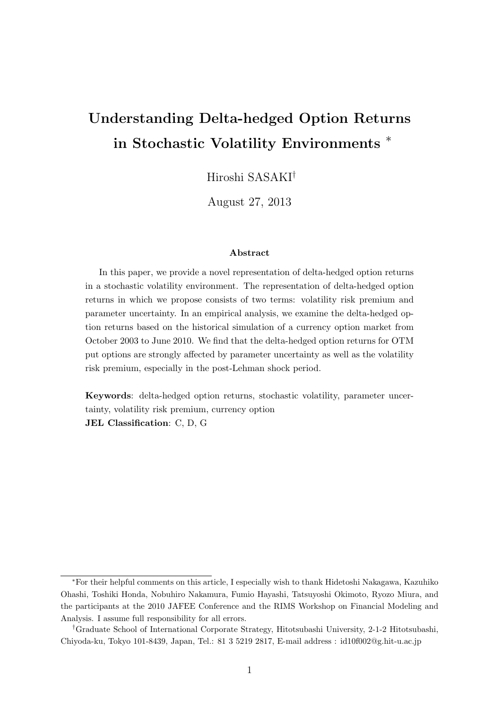# **Understanding Delta-hedged Option Returns in Stochastic Volatility Environments** *<sup>∗</sup>*

Hiroshi SASAKI*†*

August 27, 2013

#### **Abstract**

In this paper, we provide a novel representation of delta-hedged option returns in a stochastic volatility environment. The representation of delta-hedged option returns in which we propose consists of two terms: volatility risk premium and parameter uncertainty. In an empirical analysis, we examine the delta-hedged option returns based on the historical simulation of a currency option market from October 2003 to June 2010. We find that the delta-hedged option returns for OTM put options are strongly affected by parameter uncertainty as well as the volatility risk premium, especially in the post-Lehman shock period.

**Keywords**: delta-hedged option returns, stochastic volatility, parameter uncertainty, volatility risk premium, currency option **JEL Classification**: C, D, G

*<sup>∗</sup>*For their helpful comments on this article, I especially wish to thank Hidetoshi Nakagawa, Kazuhiko Ohashi, Toshiki Honda, Nobuhiro Nakamura, Fumio Hayashi, Tatsuyoshi Okimoto, Ryozo Miura, and the participants at the 2010 JAFEE Conference and the RIMS Workshop on Financial Modeling and Analysis. I assume full responsibility for all errors.

*<sup>†</sup>*Graduate School of International Corporate Strategy, Hitotsubashi University, 2-1-2 Hitotsubashi, Chiyoda-ku, Tokyo 101-8439, Japan, Tel.: 81 3 5219 2817, E-mail address : id10f002@g.hit-u.ac.jp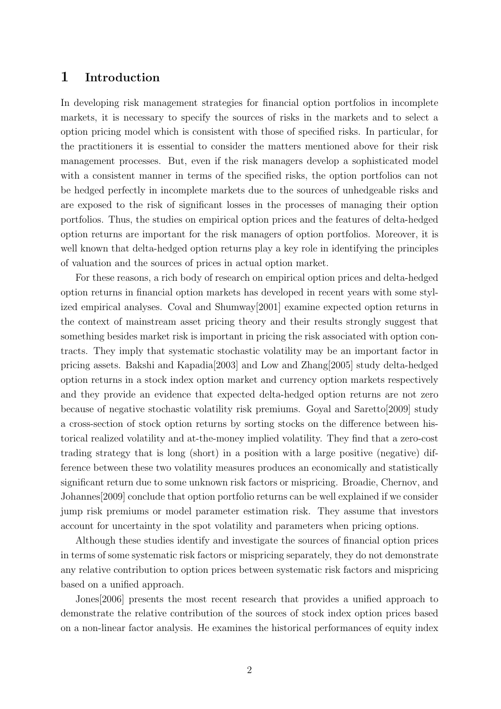### **1 Introduction**

In developing risk management strategies for financial option portfolios in incomplete markets, it is necessary to specify the sources of risks in the markets and to select a option pricing model which is consistent with those of specified risks. In particular, for the practitioners it is essential to consider the matters mentioned above for their risk management processes. But, even if the risk managers develop a sophisticated model with a consistent manner in terms of the specified risks, the option portfolios can not be hedged perfectly in incomplete markets due to the sources of unhedgeable risks and are exposed to the risk of significant losses in the processes of managing their option portfolios. Thus, the studies on empirical option prices and the features of delta-hedged option returns are important for the risk managers of option portfolios. Moreover, it is well known that delta-hedged option returns play a key role in identifying the principles of valuation and the sources of prices in actual option market.

For these reasons, a rich body of research on empirical option prices and delta-hedged option returns in financial option markets has developed in recent years with some stylized empirical analyses. Coval and Shumway[2001] examine expected option returns in the context of mainstream asset pricing theory and their results strongly suggest that something besides market risk is important in pricing the risk associated with option contracts. They imply that systematic stochastic volatility may be an important factor in pricing assets. Bakshi and Kapadia[2003] and Low and Zhang[2005] study delta-hedged option returns in a stock index option market and currency option markets respectively and they provide an evidence that expected delta-hedged option returns are not zero because of negative stochastic volatility risk premiums. Goyal and Saretto[2009] study a cross-section of stock option returns by sorting stocks on the difference between historical realized volatility and at-the-money implied volatility. They find that a zero-cost trading strategy that is long (short) in a position with a large positive (negative) difference between these two volatility measures produces an economically and statistically significant return due to some unknown risk factors or mispricing. Broadie, Chernov, and Johannes[2009] conclude that option portfolio returns can be well explained if we consider jump risk premiums or model parameter estimation risk. They assume that investors account for uncertainty in the spot volatility and parameters when pricing options.

Although these studies identify and investigate the sources of financial option prices in terms of some systematic risk factors or mispricing separately, they do not demonstrate any relative contribution to option prices between systematic risk factors and mispricing based on a unified approach.

Jones[2006] presents the most recent research that provides a unified approach to demonstrate the relative contribution of the sources of stock index option prices based on a non-linear factor analysis. He examines the historical performances of equity index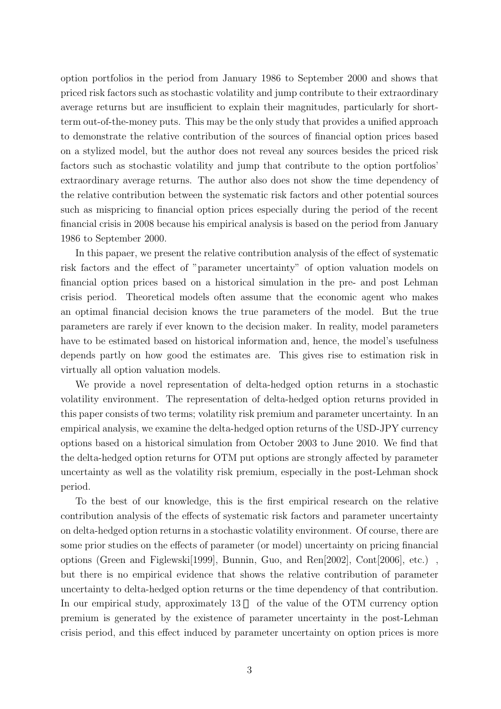option portfolios in the period from January 1986 to September 2000 and shows that priced risk factors such as stochastic volatility and jump contribute to their extraordinary average returns but are insufficient to explain their magnitudes, particularly for shortterm out-of-the-money puts. This may be the only study that provides a unified approach to demonstrate the relative contribution of the sources of financial option prices based on a stylized model, but the author does not reveal any sources besides the priced risk factors such as stochastic volatility and jump that contribute to the option portfolios' extraordinary average returns. The author also does not show the time dependency of the relative contribution between the systematic risk factors and other potential sources such as mispricing to financial option prices especially during the period of the recent financial crisis in 2008 because his empirical analysis is based on the period from January 1986 to September 2000.

In this papaer, we present the relative contribution analysis of the effect of systematic risk factors and the effect of "parameter uncertainty" of option valuation models on financial option prices based on a historical simulation in the pre- and post Lehman crisis period. Theoretical models often assume that the economic agent who makes an optimal financial decision knows the true parameters of the model. But the true parameters are rarely if ever known to the decision maker. In reality, model parameters have to be estimated based on historical information and, hence, the model's usefulness depends partly on how good the estimates are. This gives rise to estimation risk in virtually all option valuation models.

We provide a novel representation of delta-hedged option returns in a stochastic volatility environment. The representation of delta-hedged option returns provided in this paper consists of two terms; volatility risk premium and parameter uncertainty. In an empirical analysis, we examine the delta-hedged option returns of the USD-JPY currency options based on a historical simulation from October 2003 to June 2010. We find that the delta-hedged option returns for OTM put options are strongly affected by parameter uncertainty as well as the volatility risk premium, especially in the post-Lehman shock period.

To the best of our knowledge, this is the first empirical research on the relative contribution analysis of the effects of systematic risk factors and parameter uncertainty on delta-hedged option returns in a stochastic volatility environment. Of course, there are some prior studies on the effects of parameter (or model) uncertainty on pricing financial options (Green and Figlewski[1999], Bunnin, Guo, and Ren[2002], Cont[2006], etc.) , but there is no empirical evidence that shows the relative contribution of parameter uncertainty to delta-hedged option returns or the time dependency of that contribution. In our empirical study, approximately 13 of the value of the OTM currency option premium is generated by the existence of parameter uncertainty in the post-Lehman crisis period, and this effect induced by parameter uncertainty on option prices is more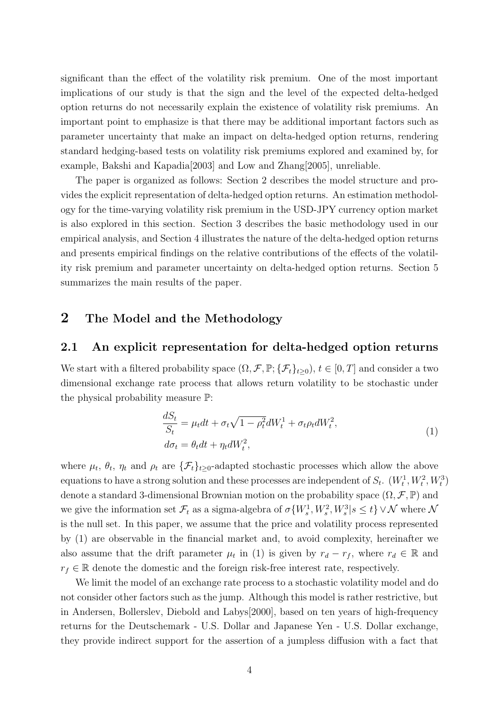significant than the effect of the volatility risk premium. One of the most important implications of our study is that the sign and the level of the expected delta-hedged option returns do not necessarily explain the existence of volatility risk premiums. An important point to emphasize is that there may be additional important factors such as parameter uncertainty that make an impact on delta-hedged option returns, rendering standard hedging-based tests on volatility risk premiums explored and examined by, for example, Bakshi and Kapadia[2003] and Low and Zhang[2005], unreliable.

The paper is organized as follows: Section 2 describes the model structure and provides the explicit representation of delta-hedged option returns. An estimation methodology for the time-varying volatility risk premium in the USD-JPY currency option market is also explored in this section. Section 3 describes the basic methodology used in our empirical analysis, and Section 4 illustrates the nature of the delta-hedged option returns and presents empirical findings on the relative contributions of the effects of the volatility risk premium and parameter uncertainty on delta-hedged option returns. Section 5 summarizes the main results of the paper.

## **2 The Model and the Methodology**

#### **2.1 An explicit representation for delta-hedged option returns**

We start with a filtered probability space  $(\Omega, \mathcal{F}, \mathbb{P}; {\{\mathcal{F}_t\}}_{t\geq 0}), t \in [0, T]$  and consider a two dimensional exchange rate process that allows return volatility to be stochastic under the physical probability measure P:

$$
\frac{dS_t}{S_t} = \mu_t dt + \sigma_t \sqrt{1 - \rho_t^2} dW_t^1 + \sigma_t \rho_t dW_t^2,
$$
  
\n
$$
d\sigma_t = \theta_t dt + \eta_t dW_t^2,
$$
\n(1)

where  $\mu_t$ ,  $\theta_t$ ,  $\eta_t$  and  $\rho_t$  are  $\{\mathcal{F}_t\}_{t\geq 0}$ -adapted stochastic processes which allow the above equations to have a strong solution and these processes are independent of  $S_t$ .  $(W_t^1, W_t^2, W_t^3)$ denote a standard 3-dimensional Brownian motion on the probability space  $(\Omega, \mathcal{F}, \mathbb{P})$  and we give the information set  $\mathcal{F}_t$  as a sigma-algebra of  $\sigma\{W_s^1, W_s^2, W_s^3 | s \le t\} \vee \mathcal{N}$  where  $\mathcal{N}$ is the null set. In this paper, we assume that the price and volatility process represented by (1) are observable in the financial market and, to avoid complexity, hereinafter we also assume that the drift parameter  $\mu_t$  in (1) is given by  $r_d - r_f$ , where  $r_d \in \mathbb{R}$  and  $r_f \in \mathbb{R}$  denote the domestic and the foreign risk-free interest rate, respectively.

We limit the model of an exchange rate process to a stochastic volatility model and do not consider other factors such as the jump. Although this model is rather restrictive, but in Andersen, Bollerslev, Diebold and Labys[2000], based on ten years of high-frequency returns for the Deutschemark - U.S. Dollar and Japanese Yen - U.S. Dollar exchange, they provide indirect support for the assertion of a jumpless diffusion with a fact that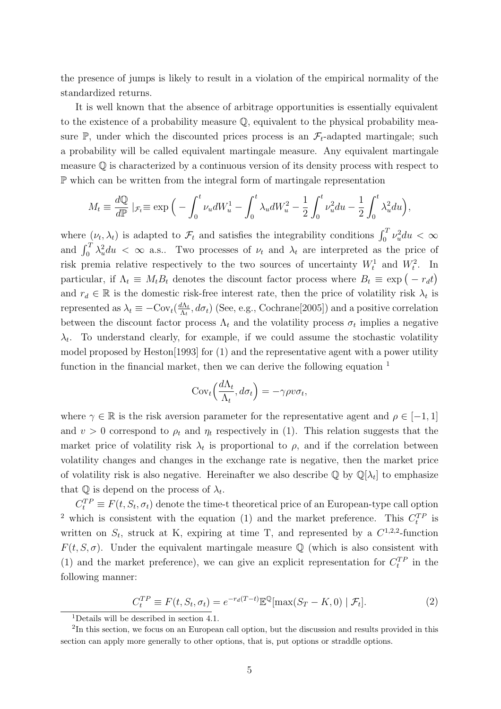the presence of jumps is likely to result in a violation of the empirical normality of the standardized returns.

It is well known that the absence of arbitrage opportunities is essentially equivalent to the existence of a probability measure Q, equivalent to the physical probability measure  $\mathbb{P}$ , under which the discounted prices process is an  $\mathcal{F}_t$ -adapted martingale; such a probability will be called equivalent martingale measure. Any equivalent martingale measure  $\mathbb Q$  is characterized by a continuous version of its density process with respect to P which can be written from the integral form of martingale representation

$$
M_t \equiv \frac{d\mathbb{Q}}{d\mathbb{P}} \mid_{\mathcal{F}_t} \equiv \exp\Big(-\int_0^t \nu_u dW_u^1 - \int_0^t \lambda_u dW_u^2 - \frac{1}{2} \int_0^t \nu_u^2 du - \frac{1}{2} \int_0^t \lambda_u^2 du\Big),
$$

where  $(\nu_t, \lambda_t)$  is adapted to  $\mathcal{F}_t$  and satisfies the integrability conditions  $\int_0^T \nu_u^2 du < \infty$ and  $\int_0^T \lambda_u^2 du < \infty$  a.s.. Two processes of  $\nu_t$  and  $\lambda_t$  are interpreted as the price of risk premia relative respectively to the two sources of uncertainty  $W_t^1$  and  $W_t^2$ . In particular, if  $\Lambda_t \equiv M_t B_t$  denotes the discount factor process where  $B_t \equiv \exp(-r_d t)$ and  $r_d \in \mathbb{R}$  is the domestic risk-free interest rate, then the price of volatility risk  $\lambda_t$  is represented as  $\lambda_t \equiv -\text{Cov}_t(\frac{d\Lambda_t}{\Lambda_t})$  $\frac{d\Lambda_t}{\Lambda_t}$ ,  $d\sigma_t$ ) (See, e.g., Cochrane<sup>[2005]</sup>) and a positive correlation between the discount factor process  $\Lambda_t$  and the volatility process  $\sigma_t$  implies a negative  $\lambda_t$ . To understand clearly, for example, if we could assume the stochastic volatility model proposed by Heston[1993] for (1) and the representative agent with a power utility function in the financial market, then we can derive the following equation  $<sup>1</sup>$ </sup>

$$
Cov_t\left(\frac{d\Lambda_t}{\Lambda_t}, d\sigma_t\right) = -\gamma \rho v \sigma_t,
$$

where  $\gamma \in \mathbb{R}$  is the risk aversion parameter for the representative agent and  $\rho \in [-1, 1]$ and  $v > 0$  correspond to  $\rho_t$  and  $\eta_t$  respectively in (1). This relation suggests that the market price of volatility risk  $\lambda_t$  is proportional to  $\rho$ , and if the correlation between volatility changes and changes in the exchange rate is negative, then the market price of volatility risk is also negative. Hereinafter we also describe  $\mathbb{Q}$  by  $\mathbb{Q}[\lambda_t]$  to emphasize that  $\mathbb Q$  is depend on the process of  $\lambda_t$ .

 $C_t^{TP} \equiv F(t, S_t, \sigma_t)$  denote the time-t theoretical price of an European-type call option <sup>2</sup> which is consistent with the equation (1) and the market preference. This  $C_t^{TP}$  is written on  $S_t$ , struck at K, expiring at time T, and represented by a  $C^{1,2,2}$ -function  $F(t, S, \sigma)$ . Under the equivalent martingale measure Q (which is also consistent with (1) and the market preference), we can give an explicit representation for  $C_t^{TP}$  in the following manner:

$$
C_t^{TP} \equiv F(t, S_t, \sigma_t) = e^{-r_d(T-t)} \mathbb{E}^{\mathbb{Q}}[\max(S_T - K, 0) | \mathcal{F}_t].
$$
\n(2)

<sup>1</sup>Details will be described in section 4.1.

<sup>&</sup>lt;sup>2</sup>In this section, we focus on an European call option, but the discussion and results provided in this section can apply more generally to other options, that is, put options or straddle options.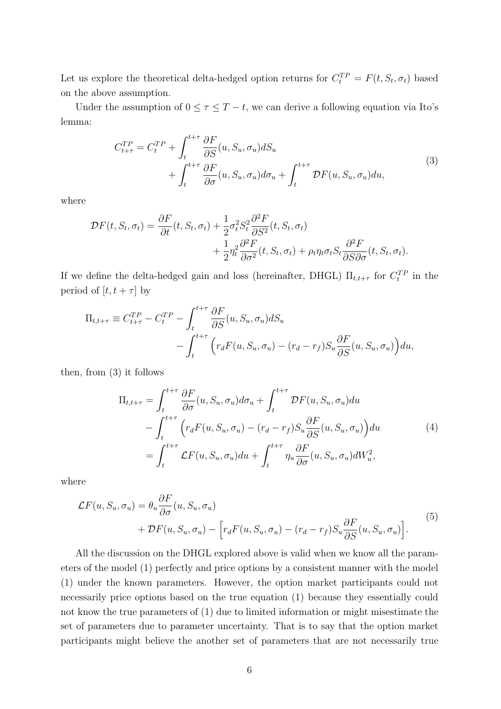Let us explore the theoretical delta-hedged option returns for  $C_t^{TP} = F(t, S_t, \sigma_t)$  based on the above assumption.

Under the assumption of  $0 \leq \tau \leq T - t$ , we can derive a following equation via Ito's lemma:

$$
C_{t+\tau}^{TP} = C_t^{TP} + \int_t^{t+\tau} \frac{\partial F}{\partial S}(u, S_u, \sigma_u) dS_u + \int_t^{t+\tau} \frac{\partial F}{\partial \sigma}(u, S_u, \sigma_u) d\sigma_u + \int_t^{t+\tau} \mathcal{D}F(u, S_u, \sigma_u) du,
$$
\n(3)

where

$$
\mathcal{D}F(t, S_t, \sigma_t) = \frac{\partial F}{\partial t}(t, S_t, \sigma_t) + \frac{1}{2}\sigma_t^2 S_t^2 \frac{\partial^2 F}{\partial S^2}(t, S_t, \sigma_t) + \frac{1}{2}\eta_t^2 \frac{\partial^2 F}{\partial \sigma^2}(t, S_t, \sigma_t) + \rho_t \eta_t \sigma_t S_t \frac{\partial^2 F}{\partial S \partial \sigma}(t, S_t, \sigma_t).
$$

If we define the delta-hedged gain and loss (hereinafter, DHGL)  $\Pi_{t,t+\tau}$  for  $C_t^{TP}$  in the period of  $[t, t + \tau]$  by

$$
\Pi_{t,t+\tau} \equiv C_{t+\tau}^{TP} - C_t^{TP} - \int_t^{t+\tau} \frac{\partial F}{\partial S}(u, S_u, \sigma_u) dS_u \n- \int_t^{t+\tau} \left( r_d F(u, S_u, \sigma_u) - (r_d - r_f) S_u \frac{\partial F}{\partial S}(u, S_u, \sigma_u) \right) du,
$$

then, from (3) it follows

$$
\Pi_{t,t+\tau} = \int_{t}^{t+\tau} \frac{\partial F}{\partial \sigma}(u, S_u, \sigma_u) d\sigma_u + \int_{t}^{t+\tau} \mathcal{D}F(u, S_u, \sigma_u) du \n- \int_{t}^{t+\tau} \left( r_d F(u, S_u, \sigma_u) - (r_d - r_f) S_u \frac{\partial F}{\partial S}(u, S_u, \sigma_u) \right) du \n= \int_{t}^{t+\tau} \mathcal{L}F(u, S_u, \sigma_u) du + \int_{t}^{t+\tau} \eta_u \frac{\partial F}{\partial \sigma}(u, S_u, \sigma_u) dW_u^2,
$$
\n(4)

where

$$
\mathcal{L}F(u, S_u, \sigma_u) = \theta_u \frac{\partial F}{\partial \sigma}(u, S_u, \sigma_u) + \mathcal{D}F(u, S_u, \sigma_u) - \left[r_d F(u, S_u, \sigma_u) - (r_d - r_f)S_u \frac{\partial F}{\partial S}(u, S_u, \sigma_u)\right].
$$
\n(5)

All the discussion on the DHGL explored above is valid when we know all the parameters of the model (1) perfectly and price options by a consistent manner with the model (1) under the known parameters. However, the option market participants could not necessarily price options based on the true equation (1) because they essentially could not know the true parameters of (1) due to limited information or might misestimate the set of parameters due to parameter uncertainty. That is to say that the option market participants might believe the another set of parameters that are not necessarily true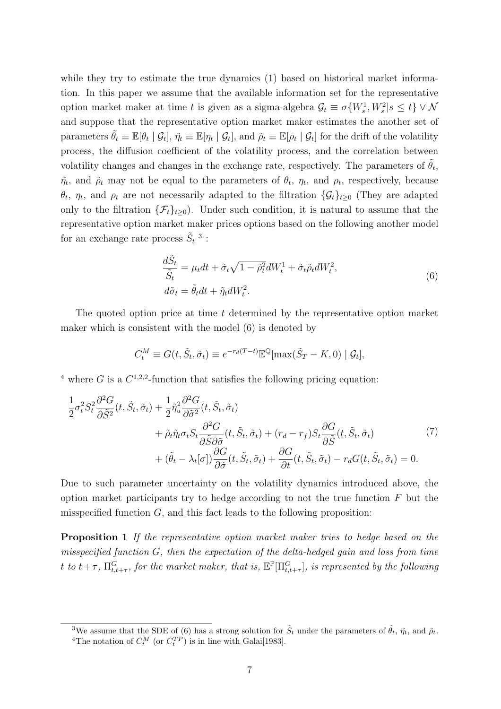while they try to estimate the true dynamics (1) based on historical market information. In this paper we assume that the available information set for the representative option market maker at time *t* is given as a sigma-algebra  $\mathcal{G}_t \equiv \sigma\{W_s^1, W_s^2 | s \leq t\} \vee \mathcal{N}$ and suppose that the representative option market maker estimates the another set of parameters  $\tilde{\theta}_t \equiv \mathbb{E}[\theta_t | \mathcal{G}_t], \tilde{\eta}_t \equiv \mathbb{E}[\eta_t | \mathcal{G}_t],$  and  $\tilde{\rho}_t \equiv \mathbb{E}[\rho_t | \mathcal{G}_t]$  for the drift of the volatility process, the diffusion coefficient of the volatility process, and the correlation between volatility changes and changes in the exchange rate, respectively. The parameters of  $\tilde{\theta}_t$ ,  $\tilde{\eta}_t$ , and  $\tilde{\rho}_t$  may not be equal to the parameters of  $\theta_t$ ,  $\eta_t$ , and  $\rho_t$ , respectively, because *θ*<sub>*t*</sub>, *η<sub>t</sub>*, and *ρ*<sup>*t*</sup> are not necessarily adapted to the filtration  $\{\mathcal{G}_t\}_{t\geq0}$  (They are adapted only to the filtration  $\{\mathcal{F}_t\}_{t>0}$ . Under such condition, it is natural to assume that the representative option market maker prices options based on the following another model for an exchange rate process  $\tilde{S}_t$ <sup>3</sup>:

$$
\frac{d\tilde{S}_t}{\tilde{S}_t} = \mu_t dt + \tilde{\sigma}_t \sqrt{1 - \tilde{\rho}_t^2} dW_t^1 + \tilde{\sigma}_t \tilde{\rho}_t dW_t^2,
$$
  
\n
$$
d\tilde{\sigma}_t = \tilde{\theta}_t dt + \tilde{\eta}_t dW_t^2.
$$
\n(6)

The quoted option price at time *t* determined by the representative option market maker which is consistent with the model (6) is denoted by

$$
C_t^M \equiv G(t, \tilde{S}_t, \tilde{\sigma}_t) \equiv e^{-r_d(T-t)} \mathbb{E}^{\mathbb{Q}}[\max(\tilde{S}_T - K, 0) | \mathcal{G}_t],
$$

<sup>4</sup> where *G* is a  $C^{1,2,2}$ -function that satisfies the following pricing equation:

$$
\frac{1}{2}\sigma_t^2 S_t^2 \frac{\partial^2 G}{\partial \tilde{S}^2}(t, \tilde{S}_t, \tilde{\sigma}_t) + \frac{1}{2} \tilde{\eta}_u^2 \frac{\partial^2 G}{\partial \tilde{\sigma}^2}(t, \tilde{S}_t, \tilde{\sigma}_t) \n+ \tilde{\rho}_t \tilde{\eta}_t \sigma_t S_t \frac{\partial^2 G}{\partial \tilde{S} \partial \tilde{\sigma}}(t, \tilde{S}_t, \tilde{\sigma}_t) + (r_d - r_f) S_t \frac{\partial G}{\partial \tilde{S}}(t, \tilde{S}_t, \tilde{\sigma}_t) \n+ (\tilde{\theta}_t - \lambda_t[\sigma]) \frac{\partial G}{\partial \tilde{\sigma}}(t, \tilde{S}_t, \tilde{\sigma}_t) + \frac{\partial G}{\partial t}(t, \tilde{S}_t, \tilde{\sigma}_t) - r_d G(t, \tilde{S}_t, \tilde{\sigma}_t) = 0.
$$
\n(7)

Due to such parameter uncertainty on the volatility dynamics introduced above, the option market participants try to hedge according to not the true function *F* but the misspecified function *G*, and this fact leads to the following proposition:

**Proposition 1** *If the representative option market maker tries to hedge based on the misspecified function G, then the expectation of the delta-hedged gain and loss from time t to*  $t + \tau$ ,  $\prod_{t,t+\tau}^G$ , *for the market maker, that is,*  $\mathbb{E}^{\mathbb{P}}[\Pi_{t,t+\tau}^G]$ *, is represented by the following* 

<sup>&</sup>lt;sup>3</sup>We assume that the SDE of (6) has a strong solution for  $\tilde{S}_t$  under the parameters of  $\tilde{\theta}_t$ ,  $\tilde{\eta}_t$ , and  $\tilde{\rho}_t$ . <sup>4</sup>The notation of  $C_t^M$  (or  $C_t^{TP}$ ) is in line with Galai<sup>[1983]</sup>.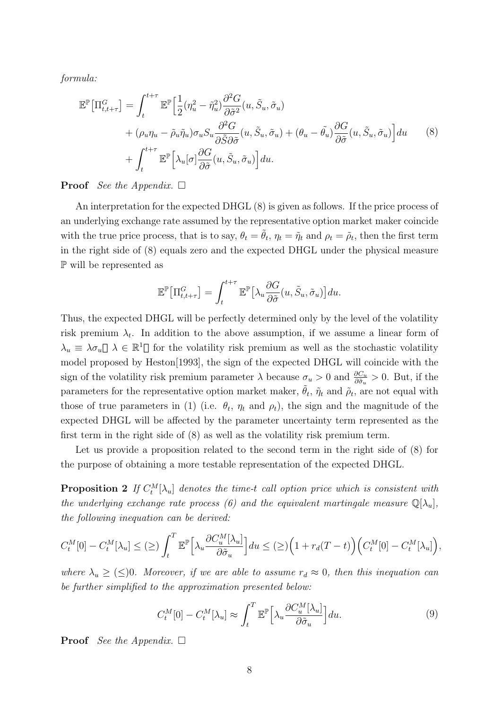*formula:*

$$
\mathbb{E}^{\mathbb{P}}\left[\Pi_{t,t+\tau}^{G}\right] = \int_{t}^{t+\tau} \mathbb{E}^{\mathbb{P}}\left[\frac{1}{2}(\eta_{u}^{2} - \tilde{\eta}_{u}^{2}) \frac{\partial^{2} G}{\partial \tilde{\sigma}^{2}}(u, \tilde{S}_{u}, \tilde{\sigma}_{u}) + (\rho_{u} \eta_{u} - \tilde{\rho}_{u} \tilde{\eta}_{u}) \sigma_{u} S_{u} \frac{\partial^{2} G}{\partial \tilde{S} \partial \tilde{\sigma}}(u, \tilde{S}_{u}, \tilde{\sigma}_{u}) + (\theta_{u} - \tilde{\theta}_{u}) \frac{\partial G}{\partial \tilde{\sigma}}(u, \tilde{S}_{u}, \tilde{\sigma}_{u})\right] du \qquad (8)
$$

$$
+ \int_{t}^{t+\tau} \mathbb{E}^{\mathbb{P}}\left[\lambda_{u}[\sigma] \frac{\partial G}{\partial \tilde{\sigma}}(u, \tilde{S}_{u}, \tilde{\sigma}_{u})\right] du.
$$

#### **Proof** *See the Appendix.*  $\Box$

An interpretation for the expected DHGL (8) is given as follows. If the price process of an underlying exchange rate assumed by the representative option market maker coincide with the true price process, that is to say,  $\theta_t = \tilde{\theta}_t$ ,  $\eta_t = \tilde{\eta}_t$  and  $\rho_t = \tilde{\rho}_t$ , then the first term in the right side of (8) equals zero and the expected DHGL under the physical measure P will be represented as

$$
\mathbb{E}^{\mathbb{P}}\big[\Pi_{t,t+\tau}^G\big] = \int_t^{t+\tau} \mathbb{E}^{\mathbb{P}}\big[\lambda_u \frac{\partial G}{\partial \tilde{\sigma}}(u, \tilde{S}_u, \tilde{\sigma}_u)\big] du.
$$

Thus, the expected DHGL will be perfectly determined only by the level of the volatility risk premium  $\lambda_t$ . In addition to the above assumption, if we assume a linear form of  $\lambda_u \equiv \lambda \sigma_u$   $\lambda \in \mathbb{R}^1$  for the volatility risk premium as well as the stochastic volatility model proposed by Heston[1993], the sign of the expected DHGL will coincide with the sign of the volatility risk premium parameter  $\lambda$  because  $\sigma_u > 0$  and  $\frac{\partial C_u}{\partial \tilde{\sigma}_u} > 0$ . But, if the parameters for the representative option market maker,  $\tilde{\theta}_t$ ,  $\tilde{\eta}_t$  and  $\tilde{\rho}_t$ , are not equal with those of true parameters in (1) (i.e.  $\theta_t$ ,  $\eta_t$  and  $\rho_t$ ), the sign and the magnitude of the expected DHGL will be affected by the parameter uncertainty term represented as the first term in the right side of (8) as well as the volatility risk premium term.

Let us provide a proposition related to the second term in the right side of (8) for the purpose of obtaining a more testable representation of the expected DHGL.

**Proposition 2** If  $C_t^M[\lambda_u]$  denotes the time-t call option price which is consistent with *the underlying exchange rate process (6) and the equivalent martingale measure*  $\mathbb{Q}[\lambda_u]$ , *the following inequation can be derived:*

$$
C_t^M[0] - C_t^M[\lambda_u] \leq (\geq) \int_t^T \mathbb{E}^{\mathbb{P}} \Big[ \lambda_u \frac{\partial C_u^M[\lambda_u]}{\partial \tilde{\sigma}_u} \Big] du \leq (\geq) \Big( 1 + r_d(T - t) \Big) \Big( C_t^M[0] - C_t^M[\lambda_u] \Big),
$$

*where*  $\lambda_u \geq (\leq)0$ *. Moreover, if we are able to assume*  $r_d \approx 0$ *, then this inequation can be further simplified to the approximation presented below:*

$$
C_t^M[0] - C_t^M[\lambda_u] \approx \int_t^T \mathbb{E}^{\mathbb{P}} \Big[ \lambda_u \frac{\partial C_u^M[\lambda_u]}{\partial \tilde{\sigma}_u} \Big] du. \tag{9}
$$

**Proof** *See the Appendix.*  $\Box$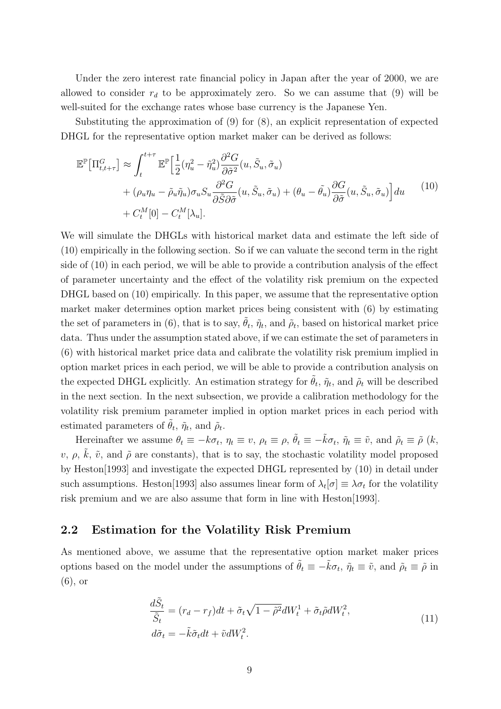Under the zero interest rate financial policy in Japan after the year of 2000, we are allowed to consider  $r_d$  to be approximately zero. So we can assume that (9) will be well-suited for the exchange rates whose base currency is the Japanese Yen.

Substituting the approximation of (9) for (8), an explicit representation of expected DHGL for the representative option market maker can be derived as follows:

$$
\mathbb{E}^{\mathbb{P}}\big[\Pi_{t,t+\tau}^{G}\big] \approx \int_{t}^{t+\tau} \mathbb{E}^{\mathbb{P}}\Big[\frac{1}{2}(\eta_{u}^{2} - \tilde{\eta}_{u}^{2}) \frac{\partial^{2} G}{\partial \tilde{\sigma}^{2}}(u, \tilde{S}_{u}, \tilde{\sigma}_{u}) + (\rho_{u}\eta_{u} - \tilde{\rho}_{u}\tilde{\eta}_{u})\sigma_{u}S_{u} \frac{\partial^{2} G}{\partial \tilde{S}\partial \tilde{\sigma}}(u, \tilde{S}_{u}, \tilde{\sigma}_{u}) + (\theta_{u} - \tilde{\theta}_{u}) \frac{\partial G}{\partial \tilde{\sigma}}(u, \tilde{S}_{u}, \tilde{\sigma}_{u})\Big] du \qquad (10)
$$

$$
+ C_{t}^{M}[0] - C_{t}^{M}[\lambda_{u}].
$$

We will simulate the DHGLs with historical market data and estimate the left side of (10) empirically in the following section. So if we can valuate the second term in the right side of (10) in each period, we will be able to provide a contribution analysis of the effect of parameter uncertainty and the effect of the volatility risk premium on the expected DHGL based on (10) empirically. In this paper, we assume that the representative option market maker determines option market prices being consistent with (6) by estimating the set of parameters in (6), that is to say,  $\tilde{\theta}_t$ ,  $\tilde{\eta}_t$ , and  $\tilde{\rho}_t$ , based on historical market price data. Thus under the assumption stated above, if we can estimate the set of parameters in (6) with historical market price data and calibrate the volatility risk premium implied in option market prices in each period, we will be able to provide a contribution analysis on the expected DHGL explicitly. An estimation strategy for  $\tilde{\theta}_t$ ,  $\tilde{\eta}_t$ , and  $\tilde{\rho}_t$  will be described in the next section. In the next subsection, we provide a calibration methodology for the volatility risk premium parameter implied in option market prices in each period with estimated parameters of  $\tilde{\theta}_t$ ,  $\tilde{\eta}_t$ , and  $\tilde{\rho}_t$ .

Hereinafter we assume  $\theta_t \equiv -k\sigma_t$ ,  $\eta_t \equiv v$ ,  $\rho_t \equiv \rho$ ,  $\tilde{\theta}_t \equiv -\tilde{k}\sigma_t$ ,  $\tilde{\eta}_t \equiv \tilde{v}$ , and  $\tilde{\rho}_t \equiv \tilde{\rho}$   $(k, \tilde{\eta}_t)$ *v*,  $\rho$ ,  $\tilde{k}$ ,  $\tilde{v}$ , and  $\tilde{\rho}$  are constants), that is to say, the stochastic volatility model proposed by Heston[1993] and investigate the expected DHGL represented by (10) in detail under such assumptions. Heston[1993] also assumes linear form of  $\lambda_t[\sigma] \equiv \lambda \sigma_t$  for the volatility risk premium and we are also assume that form in line with Heston[1993].

#### **2.2 Estimation for the Volatility Risk Premium**

As mentioned above, we assume that the representative option market maker prices options based on the model under the assumptions of  $\tilde{\theta}_t \equiv -\tilde{k}\sigma_t$ ,  $\tilde{\eta}_t \equiv \tilde{v}$ , and  $\tilde{\rho}_t \equiv \tilde{\rho}$  in (6), or

$$
\frac{d\tilde{S}_t}{\tilde{S}_t} = (r_d - r_f)dt + \tilde{\sigma}_t\sqrt{1 - \tilde{\rho}^2}dW_t^1 + \tilde{\sigma}_t\tilde{\rho}dW_t^2,
$$
  
\n
$$
d\tilde{\sigma}_t = -\tilde{k}\tilde{\sigma}_t dt + \tilde{v}dW_t^2.
$$
\n(11)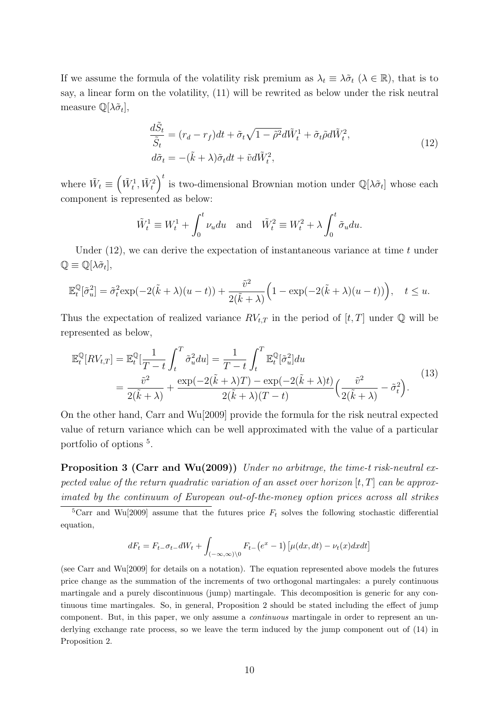If we assume the formula of the volatility risk premium as  $\lambda_t \equiv \lambda \tilde{\sigma}_t$  ( $\lambda \in \mathbb{R}$ ), that is to say, a linear form on the volatility, (11) will be rewrited as below under the risk neutral measure  $\mathbb{Q}[\lambda \tilde{\sigma}_t],$ 

$$
\frac{d\tilde{S}_t}{\tilde{S}_t} = (r_d - r_f)dt + \tilde{\sigma}_t\sqrt{1 - \tilde{\rho}^2}d\tilde{W}_t^1 + \tilde{\sigma}_t\tilde{\rho}d\tilde{W}_t^2,
$$
  

$$
d\tilde{\sigma}_t = -(\tilde{k} + \lambda)\tilde{\sigma}_t dt + \tilde{v}d\tilde{W}_t^2,
$$
\n(12)

where  $\tilde{W}_t \equiv \left(\tilde{W}_t^1, \tilde{W}_t^2\right)$  $\int_0^t$  is two-dimensional Brownian motion under  $\mathbb{Q}[\lambda \tilde{\sigma}_t]$  whose each component is represented as below:

$$
\tilde{W}_t^1 \equiv W_t^1 + \int_0^t \nu_u du \quad \text{and} \quad \tilde{W}_t^2 \equiv W_t^2 + \lambda \int_0^t \tilde{\sigma}_u du.
$$

Under (12), we can derive the expectation of instantaneous variance at time *t* under  $\mathbb{Q} \equiv \mathbb{Q}[\lambda \tilde{\sigma}_t],$ 

$$
\mathbb{E}_t^{\mathbb{Q}}[\tilde{\sigma}_u^2] = \tilde{\sigma}_t^2 \exp(-2(\tilde{k} + \lambda)(u - t)) + \frac{\tilde{v}^2}{2(\tilde{k} + \lambda)} \Big(1 - \exp(-2(\tilde{k} + \lambda)(u - t))\Big), \quad t \le u.
$$

Thus the expectation of realized variance  $RV_{t,T}$  in the period of  $[t, T]$  under  $\mathbb Q$  will be represented as below,

$$
\mathbb{E}_{t}^{\mathbb{Q}}[RV_{t,T}] = \mathbb{E}_{t}^{\mathbb{Q}}[\frac{1}{T-t} \int_{t}^{T} \tilde{\sigma}_{u}^{2} du] = \frac{1}{T-t} \int_{t}^{T} \mathbb{E}_{t}^{\mathbb{Q}}[\tilde{\sigma}_{u}^{2}] du
$$
  
= 
$$
\frac{\tilde{v}^{2}}{2(\tilde{k}+\lambda)} + \frac{\exp(-2(\tilde{k}+\lambda)T) - \exp(-2(\tilde{k}+\lambda)t)}{2(\tilde{k}+\lambda)(T-t)} \Big(\frac{\tilde{v}^{2}}{2(\tilde{k}+\lambda)} - \tilde{\sigma}_{t}^{2}\Big).
$$
 (13)

On the other hand, Carr and Wu[2009] provide the formula for the risk neutral expected value of return variance which can be well approximated with the value of a particular portfolio of options<sup>5</sup>.

**Proposition 3 (Carr and Wu(2009))** *Under no arbitrage, the time-t risk-neutral expected value of the return quadratic variation of an asset over horizon* [*t, T*] *can be approximated by the continuum of European out-of-the-money option prices across all strikes*

$$
dF_t = F_{t-} \sigma_{t-} dW_t + \int_{(-\infty,\infty)\setminus 0} F_{t-} (e^x - 1) \left[ \mu(dx, dt) - \nu_t(x) dx dt \right]
$$

(see Carr and Wu[2009] for details on a notation). The equation represented above models the futures price change as the summation of the increments of two orthogonal martingales: a purely continuous martingale and a purely discontinuous (jump) martingale. This decomposition is generic for any continuous time martingales. So, in general, Proposition 2 should be stated including the effect of jump component. But, in this paper, we only assume a *continuous* martingale in order to represent an underlying exchange rate process, so we leave the term induced by the jump component out of (14) in Proposition 2.

<sup>&</sup>lt;sup>5</sup>Carr and Wu<sup>[2009]</sup> assume that the futures price  $F_t$  solves the following stochastic differential equation,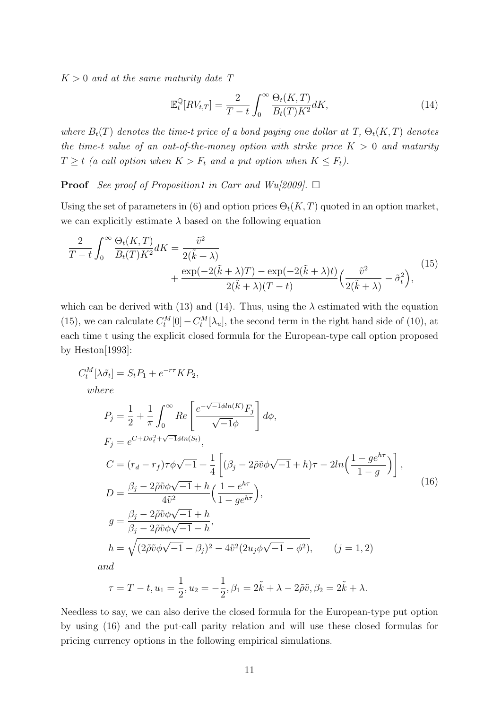*K >* 0 *and at the same maturity date T*

$$
\mathbb{E}_{t}^{\mathbb{Q}}[RV_{t,T}] = \frac{2}{T-t} \int_{0}^{\infty} \frac{\Theta_{t}(K,T)}{B_{t}(T)K^{2}} dK,
$$
\n(14)

*where*  $B_t(T)$  *denotes the time-t price of a bond paying one dollar at*  $T$ ,  $\Theta_t(K,T)$  *denotes the time-t value of an out-of-the-money option with strike price*  $K > 0$  *and maturity*  $T \geq t$  *(a call option when*  $K > F_t$  *and a put option when*  $K \leq F_t$ *).* 

**Proof** *See proof of Proposition1 in Carr and Wu[2009].*  $\Box$ 

Using the set of parameters in (6) and option prices  $\Theta_t(K,T)$  quoted in an option market, we can explicitly estimate  $\lambda$  based on the following equation

$$
\frac{2}{T-t} \int_0^\infty \frac{\Theta_t(K,T)}{B_t(T)K^2} dK = \frac{\tilde{v}^2}{2(\tilde{k}+\lambda)} + \frac{\exp(-2(\tilde{k}+\lambda)T) - \exp(-2(\tilde{k}+\lambda)t)}{2(\tilde{k}+\lambda)(T-t)} \left(\frac{\tilde{v}^2}{2(\tilde{k}+\lambda)} - \tilde{\sigma}_t^2\right),\tag{15}
$$

which can be derived with (13) and (14). Thus, using the  $\lambda$  estimated with the equation (15), we can calculate  $C_t^M[0] - C_t^M[\lambda_u]$ , the second term in the right hand side of (10), at each time t using the explicit closed formula for the European-type call option proposed by Heston $[1993]$ :

$$
C_t^M[\lambda \tilde{\sigma}_t] = S_t P_1 + e^{-r\tau} K P_2,
$$
  
\nwhere  
\n
$$
P_j = \frac{1}{2} + \frac{1}{\pi} \int_0^\infty Re \left[ \frac{e^{-\sqrt{-1}\phi ln(K)} F_j}{\sqrt{-1}\phi} \right] d\phi,
$$
  
\n
$$
F_j = e^{C + D\sigma_t^2 + \sqrt{-1}\phi ln(S_t)},
$$
  
\n
$$
C = (r_d - r_f)\tau \phi \sqrt{-1} + \frac{1}{4} \left[ (\beta_j - 2\tilde{\rho}\tilde{v}\phi \sqrt{-1} + h)\tau - 2ln\left(\frac{1 - ge^{h\tau}}{1 - g}\right) \right],
$$
  
\n
$$
D = \frac{\beta_j - 2\tilde{\rho}\tilde{v}\phi \sqrt{-1} + h}{4\tilde{v}^2} \left( \frac{1 - e^{h\tau}}{1 - ge^{h\tau}} \right),
$$
  
\n
$$
g = \frac{\beta_j - 2\tilde{\rho}\tilde{v}\phi \sqrt{-1} + h}{\beta_j - 2\tilde{\rho}\tilde{v}\phi \sqrt{-1} - h},
$$
  
\n
$$
h = \sqrt{(2\tilde{\rho}\tilde{v}\phi \sqrt{-1} - \beta_j)^2 - 4\tilde{v}^2(2u_j\phi \sqrt{-1} - \phi^2)}, \qquad (j = 1, 2)
$$
  
\nand

$$
\tau = T - t, u_1 = \frac{1}{2}, u_2 = -\frac{1}{2}, \beta_1 = 2\tilde{k} + \lambda - 2\tilde{\rho}\tilde{v}, \beta_2 = 2\tilde{k} + \lambda.
$$

Needless to say, we can also derive the closed formula for the European-type put option by using (16) and the put-call parity relation and will use these closed formulas for pricing currency options in the following empirical simulations.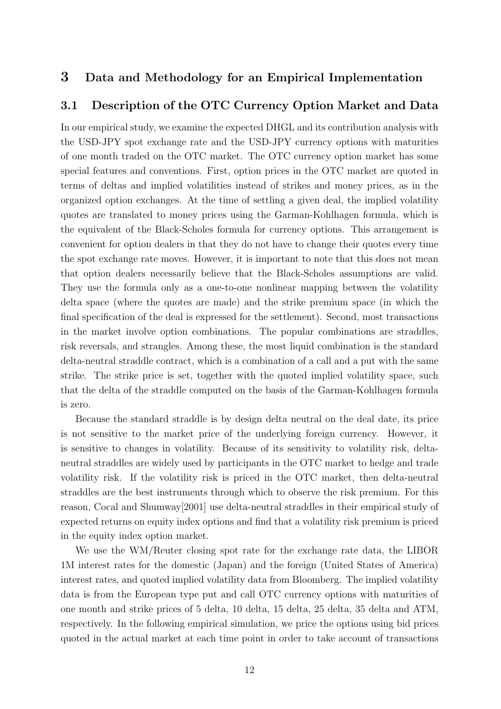## **3 Data and Methodology for an Empirical Implementation**

#### **3.1 Description of the OTC Currency Option Market and Data**

In our empirical study, we examine the expected DHGL and its contribution analysis with the USD-JPY spot exchange rate and the USD-JPY currency options with maturities of one month traded on the OTC market. The OTC currency option market has some special features and conventions. First, option prices in the OTC market are quoted in terms of deltas and implied volatilities instead of strikes and money prices, as in the organized option exchanges. At the time of settling a given deal, the implied volatility quotes are translated to money prices using the Garman-Kohlhagen formula, which is the equivalent of the Black-Scholes formula for currency options. This arrangement is convenient for option dealers in that they do not have to change their quotes every time the spot exchange rate moves. However, it is important to note that this does not mean that option dealers necessarily believe that the Black-Scholes assumptions are valid. They use the formula only as a one-to-one nonlinear mapping between the volatility delta space (where the quotes are made) and the strike premium space (in which the final specification of the deal is expressed for the settlement). Second, most transactions in the market involve option combinations. The popular combinations are straddles, risk reversals, and strangles. Among these, the most liquid combination is the standard delta-neutral straddle contract, which is a combination of a call and a put with the same strike. The strike price is set, together with the quoted implied volatility space, such that the delta of the straddle computed on the basis of the Garman-Kohlhagen formula is zero.

Because the standard straddle is by design delta neutral on the deal date, its price is not sensitive to the market price of the underlying foreign currency. However, it is sensitive to changes in volatility. Because of its sensitivity to volatility risk, deltaneutral straddles are widely used by participants in the OTC market to hedge and trade volatility risk. If the volatility risk is priced in the OTC market, then delta-neutral straddles are the best instruments through which to observe the risk premium. For this reason, Cocal and Shumway[2001] use delta-neutral straddles in their empirical study of expected returns on equity index options and find that a volatility risk premium is priced in the equity index option market.

We use the WM/Reuter closing spot rate for the exchange rate data, the LIBOR 1M interest rates for the domestic (Japan) and the foreign (United States of America) interest rates, and quoted implied volatility data from Bloomberg. The implied volatility data is from the European type put and call OTC currency options with maturities of one month and strike prices of 5 delta, 10 delta, 15 delta, 25 delta, 35 delta and ATM, respectively. In the following empirical simulation, we price the options using bid prices quoted in the actual market at each time point in order to take account of transactions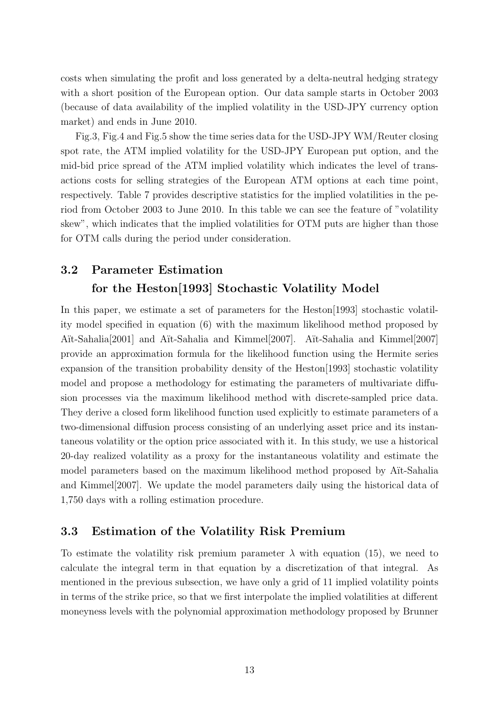costs when simulating the profit and loss generated by a delta-neutral hedging strategy with a short position of the European option. Our data sample starts in October 2003 (because of data availability of the implied volatility in the USD-JPY currency option market) and ends in June 2010.

Fig.3, Fig.4 and Fig.5 show the time series data for the USD-JPY WM/Reuter closing spot rate, the ATM implied volatility for the USD-JPY European put option, and the mid-bid price spread of the ATM implied volatility which indicates the level of transactions costs for selling strategies of the European ATM options at each time point, respectively. Table 7 provides descriptive statistics for the implied volatilities in the period from October 2003 to June 2010. In this table we can see the feature of "volatility skew", which indicates that the implied volatilities for OTM puts are higher than those for OTM calls during the period under consideration.

# **3.2 Parameter Estimation for the Heston[1993] Stochastic Volatility Model**

In this paper, we estimate a set of parameters for the Heston [1993] stochastic volatility model specified in equation (6) with the maximum likelihood method proposed by Aït-Sahalia<sup>[2001]</sup> and Aït-Sahalia and Kimmel<sup>[2007]</sup>. Aït-Sahalia and Kimmel<sup>[2007]</sup> provide an approximation formula for the likelihood function using the Hermite series expansion of the transition probability density of the Heston[1993] stochastic volatility model and propose a methodology for estimating the parameters of multivariate diffusion processes via the maximum likelihood method with discrete-sampled price data. They derive a closed form likelihood function used explicitly to estimate parameters of a two-dimensional diffusion process consisting of an underlying asset price and its instantaneous volatility or the option price associated with it. In this study, we use a historical 20-day realized volatility as a proxy for the instantaneous volatility and estimate the model parameters based on the maximum likelihood method proposed by Aït-Sahalia and Kimmel[2007]. We update the model parameters daily using the historical data of 1,750 days with a rolling estimation procedure.

### **3.3 Estimation of the Volatility Risk Premium**

To estimate the volatility risk premium parameter  $\lambda$  with equation (15), we need to calculate the integral term in that equation by a discretization of that integral. As mentioned in the previous subsection, we have only a grid of 11 implied volatility points in terms of the strike price, so that we first interpolate the implied volatilities at different moneyness levels with the polynomial approximation methodology proposed by Brunner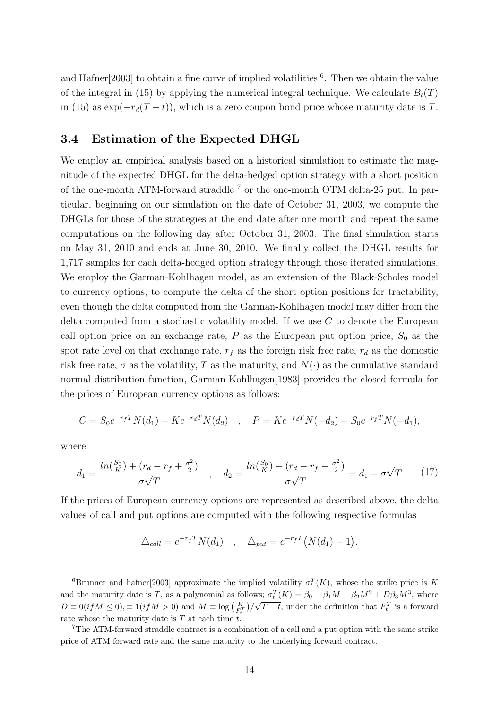and Hafner<sup>[2003]</sup> to obtain a fine curve of implied volatilities <sup>6</sup>. Then we obtain the value of the integral in (15) by applying the numerical integral technique. We calculate  $B_t(T)$ in (15) as exp(*−rd*(*T − t*)), which is a zero coupon bond price whose maturity date is *T*.

#### **3.4 Estimation of the Expected DHGL**

We employ an empirical analysis based on a historical simulation to estimate the magnitude of the expected DHGL for the delta-hedged option strategy with a short position of the one-month ATM-forward straddle  $7$  or the one-month OTM delta-25 put. In particular, beginning on our simulation on the date of October 31, 2003, we compute the DHGLs for those of the strategies at the end date after one month and repeat the same computations on the following day after October 31, 2003. The final simulation starts on May 31, 2010 and ends at June 30, 2010. We finally collect the DHGL results for 1,717 samples for each delta-hedged option strategy through those iterated simulations. We employ the Garman-Kohlhagen model, as an extension of the Black-Scholes model to currency options, to compute the delta of the short option positions for tractability, even though the delta computed from the Garman-Kohlhagen model may differ from the delta computed from a stochastic volatility model. If we use *C* to denote the European call option price on an exchange rate,  $P$  as the European put option price,  $S_0$  as the spot rate level on that exchange rate,  $r_f$  as the foreign risk free rate,  $r_d$  as the domestic risk free rate,  $\sigma$  as the volatility, *T* as the maturity, and  $N(\cdot)$  as the cumulative standard normal distribution function, Garman-Kohlhagen[1983] provides the closed formula for the prices of European currency options as follows:

$$
C = S_0 e^{-r_f T} N(d_1) - K e^{-r_d T} N(d_2) , \quad P = K e^{-r_d T} N(-d_2) - S_0 e^{-r_f T} N(-d_1),
$$

where

$$
d_1 = \frac{\ln(\frac{S_0}{K}) + (r_d - r_f + \frac{\sigma^2}{2})}{\sigma\sqrt{T}} \quad , \quad d_2 = \frac{\ln(\frac{S_0}{K}) + (r_d - r_f - \frac{\sigma^2}{2})}{\sigma\sqrt{T}} = d_1 - \sigma\sqrt{T}.
$$
 (17)

If the prices of European currency options are represented as described above, the delta values of call and put options are computed with the following respective formulas

$$
\Delta_{call} = e^{-r_f T} N(d_1) \quad , \quad \Delta_{put} = e^{-r_f T} (N(d_1) - 1).
$$

<sup>&</sup>lt;sup>6</sup>Brunner and hafter<sup>[2003]</sup> approximate the implied volatility  $\sigma_t^T(K)$ , whose the strike price is *K* and the maturity date is *T*, as a polynomial as follows;  $\sigma_t^T(K) = \beta_0 + \beta_1 M + \beta_2 M^2 + D\beta_3 M^3$ , where  $D \equiv 0 (if M \le 0), \equiv 1 (if M > 0)$  and  $M \equiv \log \left( \frac{K}{F_t^T} \right) / \sqrt{T-t}$ , under the definition that  $F_t^T$  is a forward rate whose the maturity date is *T* at each time *t*.

<sup>7</sup>The ATM-forward straddle contract is a combination of a call and a put option with the same strike price of ATM forward rate and the same maturity to the underlying forward contract.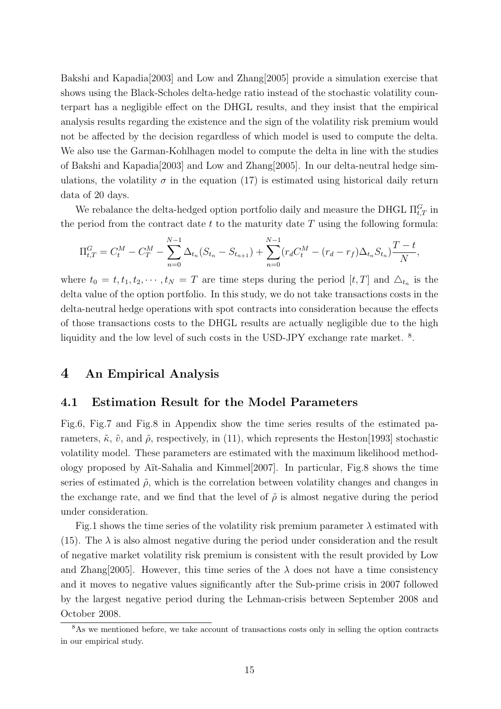Bakshi and Kapadia[2003] and Low and Zhang[2005] provide a simulation exercise that shows using the Black-Scholes delta-hedge ratio instead of the stochastic volatility counterpart has a negligible effect on the DHGL results, and they insist that the empirical analysis results regarding the existence and the sign of the volatility risk premium would not be affected by the decision regardless of which model is used to compute the delta. We also use the Garman-Kohlhagen model to compute the delta in line with the studies of Bakshi and Kapadia[2003] and Low and Zhang[2005]. In our delta-neutral hedge simulations, the volatility  $\sigma$  in the equation (17) is estimated using historical daily return data of 20 days.

We rebalance the delta-hedged option portfolio daily and measure the DHGL  $\Pi_{t,T}^G$  in the period from the contract date *t* to the maturity date *T* using the following formula:

$$
\Pi_{t,T}^G = C_t^M - C_T^M - \sum_{n=0}^{N-1} \Delta_{t_n} (S_{t_n} - S_{t_{n+1}}) + \sum_{n=0}^{N-1} (r_d C_t^M - (r_d - r_f) \Delta_{t_n} S_{t_n}) \frac{T-t}{N},
$$

where  $t_0 = t, t_1, t_2, \cdots, t_N = T$  are time steps during the period  $[t, T]$  and  $\Delta_{t_n}$  is the delta value of the option portfolio. In this study, we do not take transactions costs in the delta-neutral hedge operations with spot contracts into consideration because the effects of those transactions costs to the DHGL results are actually negligible due to the high liquidity and the low level of such costs in the USD-JPY exchange rate market.<sup>8</sup>.

## **4 An Empirical Analysis**

#### **4.1 Estimation Result for the Model Parameters**

Fig.6, Fig.7 and Fig.8 in Appendix show the time series results of the estimated parameters,  $\tilde{\kappa}$ ,  $\tilde{v}$ , and  $\tilde{\rho}$ , respectively, in (11), which represents the Heston[1993] stochastic volatility model. These parameters are estimated with the maximum likelihood methodology proposed by A¨ıt-Sahalia and Kimmel[2007]. In particular, Fig.8 shows the time series of estimated  $\tilde{\rho}$ , which is the correlation between volatility changes and changes in the exchange rate, and we find that the level of  $\tilde{\rho}$  is almost negative during the period under consideration.

Fig.1 shows the time series of the volatility risk premium parameter  $\lambda$  estimated with (15). The  $\lambda$  is also almost negative during the period under consideration and the result of negative market volatility risk premium is consistent with the result provided by Low and Zhang<sup>[2005]</sup>. However, this time series of the  $\lambda$  does not have a time consistency and it moves to negative values significantly after the Sub-prime crisis in 2007 followed by the largest negative period during the Lehman-crisis between September 2008 and October 2008.

<sup>&</sup>lt;sup>8</sup>As we mentioned before, we take account of transactions costs only in selling the option contracts in our empirical study.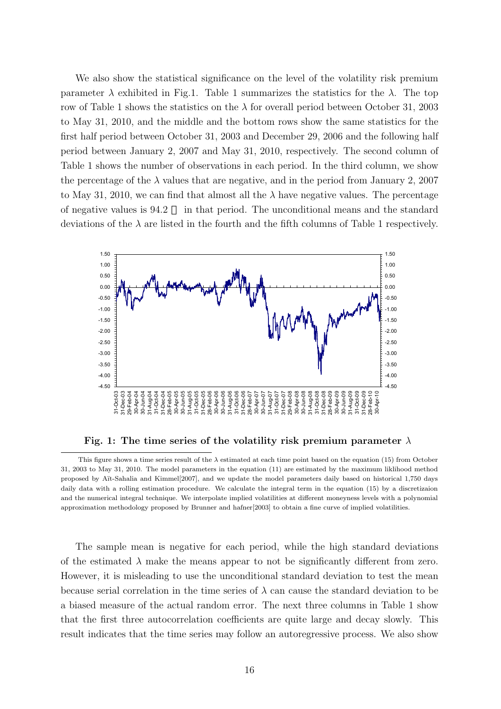We also show the statistical significance on the level of the volatility risk premium parameter  $\lambda$  exhibited in Fig.1. Table 1 summarizes the statistics for the  $\lambda$ . The top row of Table 1 shows the statistics on the  $\lambda$  for overall period between October 31, 2003 to May 31, 2010, and the middle and the bottom rows show the same statistics for the first half period between October 31, 2003 and December 29, 2006 and the following half period between January 2, 2007 and May 31, 2010, respectively. The second column of Table 1 shows the number of observations in each period. In the third column, we show the percentage of the  $\lambda$  values that are negative, and in the period from January 2, 2007 to May 31, 2010, we can find that almost all the  $\lambda$  have negative values. The percentage of negative values is 94.2 in that period. The unconditional means and the standard deviations of the  $\lambda$  are listed in the fourth and the fifth columns of Table 1 respectively.



**Fig. 1: The time series of the volatility risk premium parameter** *λ*

The sample mean is negative for each period, while the high standard deviations of the estimated  $\lambda$  make the means appear to not be significantly different from zero. However, it is misleading to use the unconditional standard deviation to test the mean because serial correlation in the time series of  $\lambda$  can cause the standard deviation to be a biased measure of the actual random error. The next three columns in Table 1 show that the first three autocorrelation coefficients are quite large and decay slowly. This result indicates that the time series may follow an autoregressive process. We also show

This figure shows a time series result of the  $\lambda$  estimated at each time point based on the equation (15) from October 31, 2003 to May 31, 2010. The model parameters in the equation (11) are estimated by the maximum liklihood method proposed by A¨ıt-Sahalia and Kimmel[2007], and we update the model parameters daily based on historical 1,750 days daily data with a rolling estimation procedure. We calculate the integral term in the equation (15) by a discretizaion and the numerical integral technique. We interpolate implied volatilities at different moneyness levels with a polynomial approximation methodology proposed by Brunner and hafner[2003] to obtain a fine curve of implied volatilities.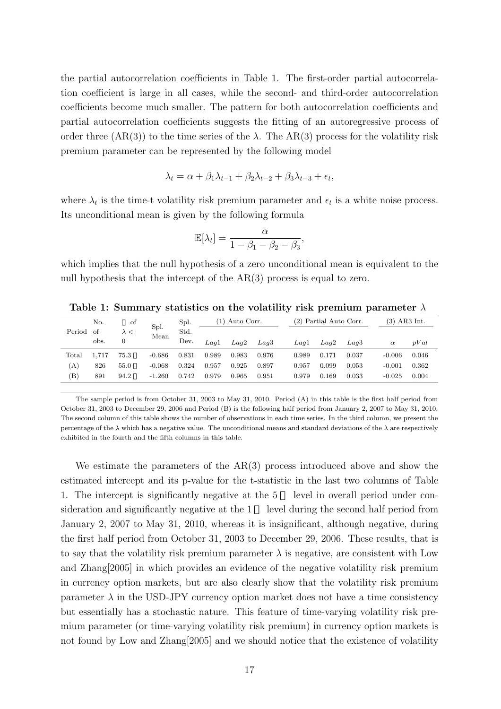the partial autocorrelation coefficients in Table 1. The first-order partial autocorrelation coefficient is large in all cases, while the second- and third-order autocorrelation coefficients become much smaller. The pattern for both autocorrelation coefficients and partial autocorrelation coefficients suggests the fitting of an autoregressive process of order three  $(AR(3))$  to the time series of the  $\lambda$ . The  $AR(3)$  process for the volatility risk premium parameter can be represented by the following model

$$
\lambda_t = \alpha + \beta_1 \lambda_{t-1} + \beta_2 \lambda_{t-2} + \beta_3 \lambda_{t-3} + \epsilon_t,
$$

where  $\lambda_t$  is the time-t volatility risk premium parameter and  $\epsilon_t$  is a white noise process. Its unconditional mean is given by the following formula

$$
\mathbb{E}[\lambda_t] = \frac{\alpha}{1 - \beta_1 - \beta_2 - \beta_3},
$$

which implies that the null hypothesis of a zero unconditional mean is equivalent to the null hypothesis that the intercept of the AR(3) process is equal to zero.

|                            | No.   | of   | Spl.     | Spl.  | (1) Auto Corr. |       |                  | (2) Partial Auto Corr. |       |                  |          | $(3)$ AR3 Int. |
|----------------------------|-------|------|----------|-------|----------------|-------|------------------|------------------------|-------|------------------|----------|----------------|
| Period                     | - of  |      | Mean     | Std.  |                |       |                  |                        |       |                  |          |                |
|                            | obs.  | 0    |          | Dev.  | Laal           | Laq2  | Lag <sub>3</sub> | Laq1                   | Lag2  | Lag <sub>3</sub> | $\alpha$ | pVal           |
| Total                      | 1.717 | 75.3 | $-0.686$ | 0.831 | 0.989          | 0.983 | 0.976            | 0.989                  | 0.171 | 0.037            | $-0.006$ | 0.046          |
| (A)                        | 826   | 55.0 | $-0.068$ | 0.324 | 0.957          | 0.925 | 0.897            | 0.957                  | 0.099 | 0.053            | $-0.001$ | 0.362          |
| $\left( \mathrm{B}\right)$ | 891   | 94.2 | $-1.260$ | 0.742 | 0.979          | 0.965 | 0.951            | 0.979                  | 0.169 | 0.033            | $-0.025$ | 0.004          |

**Table 1: Summary statistics on the volatility risk premium parameter** *λ*

The sample period is from October 31, 2003 to May 31, 2010. Period (A) in this table is the first half period from October 31, 2003 to December 29, 2006 and Period (B) is the following half period from January 2, 2007 to May 31, 2010. The second column of this table shows the number of observations in each time series. In the third column, we present the percentage of the  $\lambda$  which has a negative value. The unconditional means and standard deviations of the  $\lambda$  are respectively exhibited in the fourth and the fifth columns in this table.

We estimate the parameters of the AR(3) process introduced above and show the estimated intercept and its p-value for the t-statistic in the last two columns of Table 1. The intercept is significantly negative at the 5 level in overall period under consideration and significantly negative at the 1 level during the second half period from January 2, 2007 to May 31, 2010, whereas it is insignificant, although negative, during the first half period from October 31, 2003 to December 29, 2006. These results, that is to say that the volatility risk premium parameter  $\lambda$  is negative, are consistent with Low and Zhang[2005] in which provides an evidence of the negative volatility risk premium in currency option markets, but are also clearly show that the volatility risk premium parameter  $\lambda$  in the USD-JPY currency option market does not have a time consistency but essentially has a stochastic nature. This feature of time-varying volatility risk premium parameter (or time-varying volatility risk premium) in currency option markets is not found by Low and Zhang[2005] and we should notice that the existence of volatility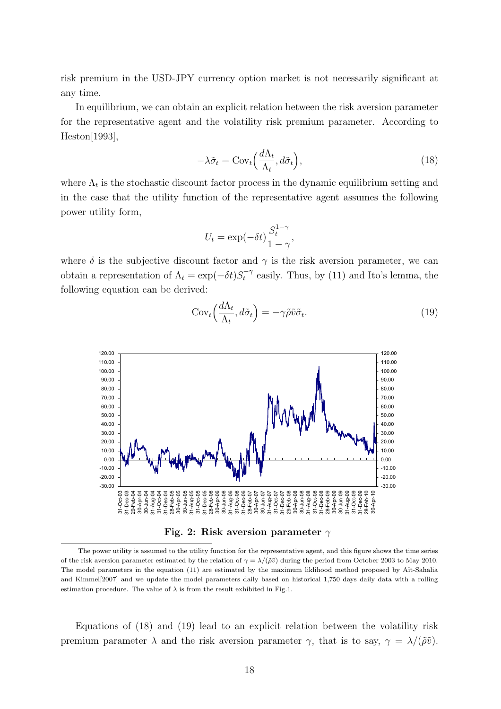risk premium in the USD-JPY currency option market is not necessarily significant at any time.

In equilibrium, we can obtain an explicit relation between the risk aversion parameter for the representative agent and the volatility risk premium parameter. According to Heston[1993],

$$
-\lambda \tilde{\sigma}_t = \text{Cov}_t \Big( \frac{d\Lambda_t}{\Lambda_t}, d\tilde{\sigma}_t \Big), \tag{18}
$$

where  $\Lambda_t$  is the stochastic discount factor process in the dynamic equilibrium setting and in the case that the utility function of the representative agent assumes the following power utility form,

$$
U_t = \exp(-\delta t) \frac{S_t^{1-\gamma}}{1-\gamma},
$$

where  $\delta$  is the subjective discount factor and  $\gamma$  is the risk aversion parameter, we can obtain a representation of  $\Lambda_t = \exp(-\delta t) S_t^{-\gamma}$  easily. Thus, by (11) and Ito's lemma, the following equation can be derived:



$$
Cov_t\left(\frac{d\Lambda_t}{\Lambda_t}, d\tilde{\sigma}_t\right) = -\gamma \tilde{\rho}\tilde{v}\tilde{\sigma}_t. \tag{19}
$$

**Fig. 2: Risk aversion parameter** *γ*

Equations of (18) and (19) lead to an explicit relation between the volatility risk premium parameter  $\lambda$  and the risk aversion parameter  $\gamma$ , that is to say,  $\gamma = \lambda/(\tilde{\rho}\tilde{v})$ .

The power utility is assumed to the utility function for the representative agent, and this figure shows the time series of the risk aversion parameter estimated by the relation of  $\gamma = \lambda/(\tilde{\rho} \tilde{v})$  during the period from October 2003 to May 2010. The model parameters in the equation (11) are estimated by the maximum liklihood method proposed by Aït-Sahalia and Kimmel[2007] and we update the model parameters daily based on historical 1,750 days daily data with a rolling estimation procedure. The value of  $\lambda$  is from the result exhibited in Fig.1.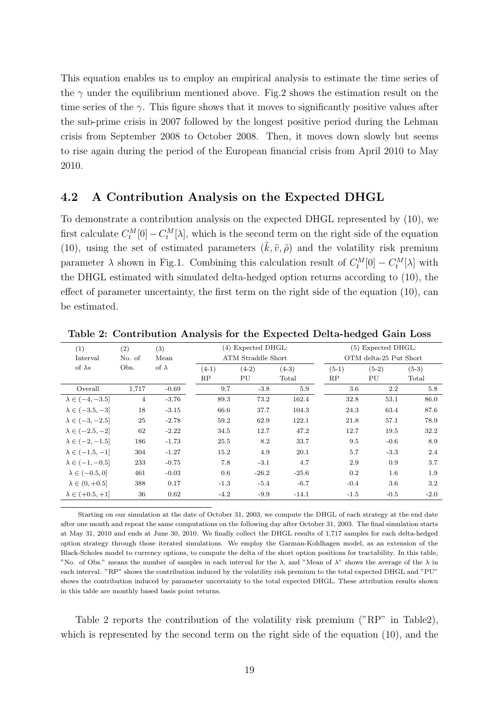This equation enables us to employ an empirical analysis to estimate the time series of the  $\gamma$  under the equilibrium mentioned above. Fig.2 shows the estimation result on the time series of the  $\gamma$ . This figure shows that it moves to significantly positive values after the sub-prime crisis in 2007 followed by the longest positive period during the Lehman crisis from September 2008 to October 2008. Then, it moves down slowly but seems to rise again during the period of the European financial crisis from April 2010 to May 2010.

#### **4.2 A Contribution Analysis on the Expected DHGL**

To demonstrate a contribution analysis on the expected DHGL represented by (10), we first calculate  $C_t^M[0] - C_t^M[\lambda]$ , which is the second term on the right side of the equation (10), using the set of estimated parameters  $(\tilde{k}, \tilde{v}, \tilde{\rho})$  and the volatility risk premium parameter  $\lambda$  shown in Fig.1. Combining this calculation result of  $C_t^M[0] - C_t^M[\lambda]$  with the DHGL estimated with simulated delta-hedged option returns according to (10), the effect of parameter uncertainty, the first term on the right side of the equation (10), can be estimated.

| (1)                                 | (2)            | (3)          |         | (4) Expected DHGL: |         |                        | $(5)$ Expected DHGL: |         |  |  |  |
|-------------------------------------|----------------|--------------|---------|--------------------|---------|------------------------|----------------------|---------|--|--|--|
| Interval                            | No. of         | Mean         |         | ATM Straddle Short |         | OTM delta-25 Put Short |                      |         |  |  |  |
| of $\lambda s$                      | Obs.           | of $\lambda$ | $(4-1)$ | $(4-2)$            | $(4-3)$ | $(5-1)$                | $(5-2)$              | $(5-3)$ |  |  |  |
|                                     |                |              | RP      | PU                 | Total   | RP                     | PU                   | Total   |  |  |  |
| Overall                             | 1,717          | $-0.69$      | 9.7     | $-3.8$             | 5.9     | 3.6                    | 2.2                  | 5.8     |  |  |  |
| $\lambda \in \left(-4, -3.5\right]$ | $\overline{4}$ | $-3.76$      | 89.3    | 73.2               | 162.4   | 32.8                   | 53.1                 | 86.0    |  |  |  |
| $\lambda \in (-3.5, -3]$            | 18             | $-3.15$      | 66.6    | 37.7               | 104.3   | 24.3                   | 63.4                 | 87.6    |  |  |  |
| $\lambda \in (-3, -2.5]$            | 25             | $-2.78$      | 59.2    | 62.9               | 122.1   | 21.8                   | 57.1                 | 78.9    |  |  |  |
| $\lambda \in (-2.5, -2]$            | 62             | $-2.22$      | 34.5    | 12.7               | 47.2    | 12.7                   | 19.5                 | 32.2    |  |  |  |
| $\lambda \in (-2, -1.5]$            | 186            | $-1.73$      | 25.5    | 8.2                | 33.7    | 9.5                    | $-0.6$               | 8.9     |  |  |  |
| $\lambda \in (-1.5, -1]$            | 304            | $-1.27$      | 15.2    | 4.9                | 20.1    | 5.7                    | $-3.3$               | 2.4     |  |  |  |
| $\lambda \in (-1, -0.5]$            | 233            | $-0.75$      | 7.8     | $-3.1$             | 4.7     | 2.9                    | 0.9                  | 3.7     |  |  |  |
| $\lambda \in (-0.5, 0]$             | 461            | $-0.03$      | 0.6     | $-26.2$            | $-25.6$ | 0.2                    | 1.6                  | 1.9     |  |  |  |
| $\lambda \in (0, +0.5]$             | 388            | 0.17         | $-1.3$  | $-5.4$             | $-6.7$  | $-0.4$                 | 3.6                  | 3.2     |  |  |  |
| $\lambda \in (+0.5, +1]$            | 36             | 0.62         | $-4.2$  | $-9.9$             | $-14.1$ | $-1.5$                 | $-0.5$               | $-2.0$  |  |  |  |

**Table 2: Contribution Analysis for the Expected Delta-hedged Gain Loss**

Starting on our simulation at the date of October 31, 2003, we compute the DHGL of each strategy at the end date after one month and repeat the same computations on the following day after October 31, 2003. The final simulation starts at May 31, 2010 and ends at June 30, 2010. We finally collect the DHGL results of 1,717 samples for each delta-hedged option strategy through those iterated simulations. We employ the Garman-Kohlhagen model, as an extension of the Black-Scholes model to currency options, to compute the delta of the short option positions for tractability. In this table, "No. of Obs." means the number of samples in each interval for the *λ*, and "Mean of *λ*" shows the average of the *λ* in each interval. "RP" shows the contribution induced by the volatility risk premium to the total expected DHGL and "PU" shows the contribution induced by parameter uncertainty to the total expected DHGL. These attribution results shown in this table are monthly based basis point returns.

Table 2 reports the contribution of the volatility risk premium ("RP" in Table2), which is represented by the second term on the right side of the equation (10), and the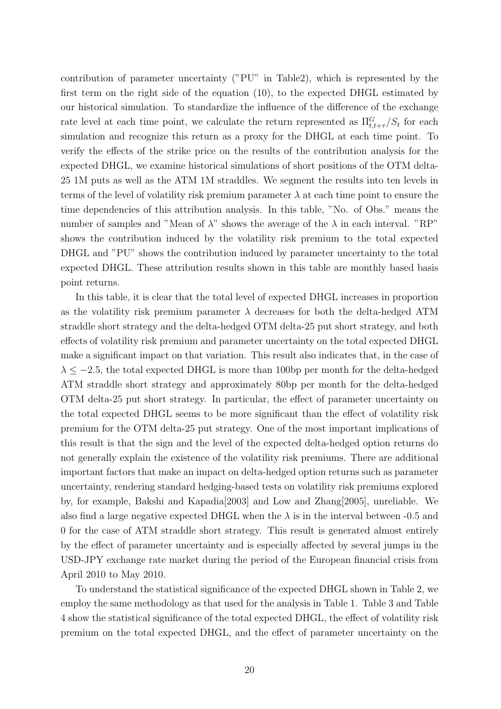contribution of parameter uncertainty ("PU" in Table2), which is represented by the first term on the right side of the equation (10), to the expected DHGL estimated by our historical simulation. To standardize the influence of the difference of the exchange rate level at each time point, we calculate the return represented as  $\Pi_{t,t+\tau}^G/S_t$  for each simulation and recognize this return as a proxy for the DHGL at each time point. To verify the effects of the strike price on the results of the contribution analysis for the expected DHGL, we examine historical simulations of short positions of the OTM delta-25 1M puts as well as the ATM 1M straddles. We segment the results into ten levels in terms of the level of volatility risk premium parameter  $\lambda$  at each time point to ensure the time dependencies of this attribution analysis. In this table, "No. of Obs." means the number of samples and "Mean of  $\lambda$ " shows the average of the  $\lambda$  in each interval. "RP" shows the contribution induced by the volatility risk premium to the total expected DHGL and "PU" shows the contribution induced by parameter uncertainty to the total expected DHGL. These attribution results shown in this table are monthly based basis point returns.

In this table, it is clear that the total level of expected DHGL increases in proportion as the volatility risk premium parameter  $\lambda$  decreases for both the delta-hedged ATM straddle short strategy and the delta-hedged OTM delta-25 put short strategy, and both effects of volatility risk premium and parameter uncertainty on the total expected DHGL make a significant impact on that variation. This result also indicates that, in the case of *λ ≤ −*2*.*5, the total expected DHGL is more than 100bp per month for the delta-hedged ATM straddle short strategy and approximately 80bp per month for the delta-hedged OTM delta-25 put short strategy. In particular, the effect of parameter uncertainty on the total expected DHGL seems to be more significant than the effect of volatility risk premium for the OTM delta-25 put strategy. One of the most important implications of this result is that the sign and the level of the expected delta-hedged option returns do not generally explain the existence of the volatility risk premiums. There are additional important factors that make an impact on delta-hedged option returns such as parameter uncertainty, rendering standard hedging-based tests on volatility risk premiums explored by, for example, Bakshi and Kapadia[2003] and Low and Zhang[2005], unreliable. We also find a large negative expected DHGL when the  $\lambda$  is in the interval between -0.5 and 0 for the case of ATM straddle short strategy. This result is generated almost entirely by the effect of parameter uncertainty and is especially affected by several jumps in the USD-JPY exchange rate market during the period of the European financial crisis from April 2010 to May 2010.

To understand the statistical significance of the expected DHGL shown in Table 2, we employ the same methodology as that used for the analysis in Table 1. Table 3 and Table 4 show the statistical significance of the total expected DHGL, the effect of volatility risk premium on the total expected DHGL, and the effect of parameter uncertainty on the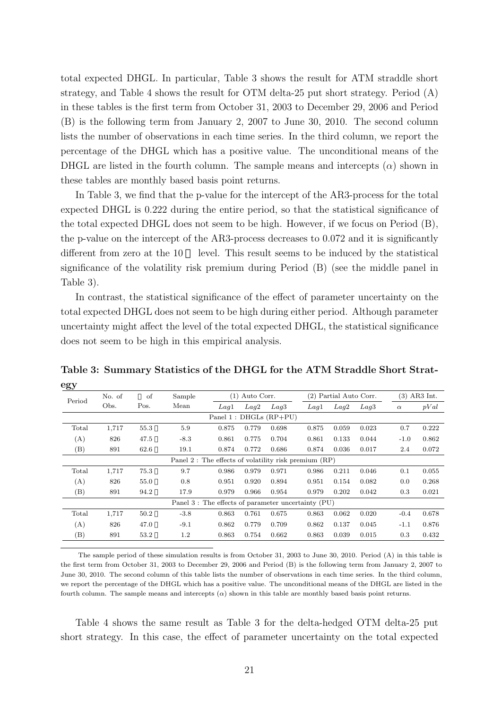total expected DHGL. In particular, Table 3 shows the result for ATM straddle short strategy, and Table 4 shows the result for OTM delta-25 put short strategy. Period (A) in these tables is the first term from October 31, 2003 to December 29, 2006 and Period (B) is the following term from January 2, 2007 to June 30, 2010. The second column lists the number of observations in each time series. In the third column, we report the percentage of the DHGL which has a positive value. The unconditional means of the DHGL are listed in the fourth column. The sample means and intercepts  $(\alpha)$  shown in these tables are monthly based basis point returns.

In Table 3, we find that the p-value for the intercept of the AR3-process for the total expected DHGL is 0.222 during the entire period, so that the statistical significance of the total expected DHGL does not seem to be high. However, if we focus on Period (B), the p-value on the intercept of the AR3-process decreases to 0.072 and it is significantly different from zero at the 10 level. This result seems to be induced by the statistical significance of the volatility risk premium during Period (B) (see the middle panel in Table 3).

In contrast, the statistical significance of the effect of parameter uncertainty on the total expected DHGL does not seem to be high during either period. Although parameter uncertainty might affect the level of the total expected DHGL, the statistical significance does not seem to be high in this empirical analysis.

|                                                         | No. of | of<br>Sample |                                                     |       | $(1)$ Auto Corr. |                           |       | (2) Partial Auto Corr. |       | $(3)$ AR3 Int. |       |
|---------------------------------------------------------|--------|--------------|-----------------------------------------------------|-------|------------------|---------------------------|-------|------------------------|-------|----------------|-------|
| Period                                                  | Obs.   | Pos.         | Mean                                                | Laq1  | Laq2             | Laq3                      | Laq1  | Laq2                   | Laq3  | $\alpha$       | pVal  |
|                                                         |        |              |                                                     |       |                  | Panel 1 : DHGLs $(RP+PU)$ |       |                        |       |                |       |
| Total                                                   | 1,717  | 55.3         | 5.9                                                 | 0.875 | 0.779            | 0.698                     | 0.875 | 0.059                  | 0.023 | 0.7            | 0.222 |
| (A)                                                     | 826    | 47.5         | $-8.3$                                              | 0.861 | 0.775            | 0.704                     | 0.861 | 0.133                  | 0.044 | $-1.0$         | 0.862 |
| (B)                                                     | 891    | 62.6         | 19.1                                                | 0.874 | 0.772            | 0.686                     | 0.874 | 0.036                  | 0.017 | 2.4            | 0.072 |
| Panel 2 : The effects of volatility risk premium $(RP)$ |        |              |                                                     |       |                  |                           |       |                        |       |                |       |
| Total                                                   | 1,717  | 75.3         | 9.7                                                 | 0.986 | 0.979            | 0.971                     | 0.986 | 0.211                  | 0.046 | 0.1            | 0.055 |
| (A)                                                     | 826    | 55.0         | 0.8                                                 | 0.951 | 0.920            | 0.894                     | 0.951 | 0.154                  | 0.082 | $0.0\,$        | 0.268 |
| (B)                                                     | 891    | 94.2         | 17.9                                                | 0.979 | 0.966            | 0.954                     | 0.979 | 0.202                  | 0.042 | $0.3\,$        | 0.021 |
|                                                         |        |              | Panel 3 : The effects of parameter uncertainty (PU) |       |                  |                           |       |                        |       |                |       |
| Total                                                   | 1,717  | 50.2         | $-3.8$                                              | 0.863 | 0.761            | 0.675                     | 0.863 | 0.062                  | 0.020 | $-0.4$         | 0.678 |
| (A)                                                     | 826    | 47.0         | $-9.1$                                              | 0.862 | 0.779            | 0.709                     | 0.862 | 0.137                  | 0.045 | $-1.1$         | 0.876 |
| (B)                                                     | 891    | 53.2         | $1.2\,$                                             | 0.863 | 0.754            | 0.662                     | 0.863 | 0.039                  | 0.015 | 0.3            | 0.432 |

**Table 3: Summary Statistics of the DHGL for the ATM Straddle Short Strategy**

The sample period of these simulation results is from October 31, 2003 to June 30, 2010. Period (A) in this table is the first term from October 31, 2003 to December 29, 2006 and Period (B) is the following term from January 2, 2007 to June 30, 2010. The second column of this table lists the number of observations in each time series. In the third column, we report the percentage of the DHGL which has a positive value. The unconditional means of the DHGL are listed in the fourth column. The sample means and intercepts (*α*) shown in this table are monthly based basis point returns.

Table 4 shows the same result as Table 3 for the delta-hedged OTM delta-25 put short strategy. In this case, the effect of parameter uncertainty on the total expected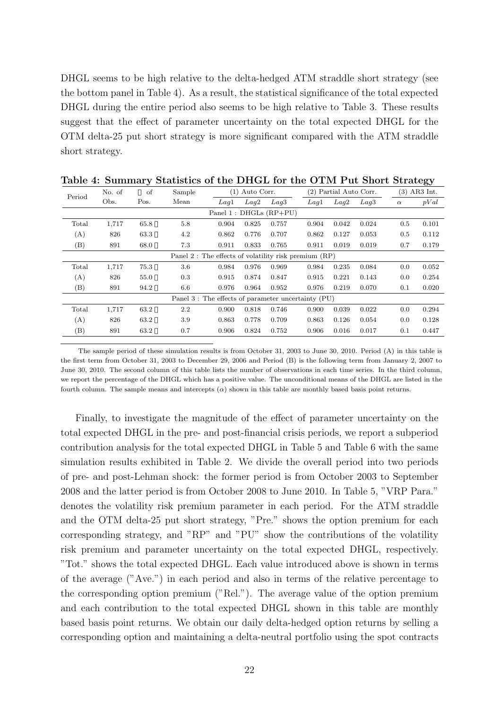DHGL seems to be high relative to the delta-hedged ATM straddle short strategy (see the bottom panel in Table 4). As a result, the statistical significance of the total expected DHGL during the entire period also seems to be high relative to Table 3. These results suggest that the effect of parameter uncertainty on the total expected DHGL for the OTM delta-25 put short strategy is more significant compared with the ATM straddle short strategy.

| Period | of<br>No. of<br>Sample |      |                                                      | Auto Corr.<br>(1) |       |                           | (2) Partial Auto Corr. |       | $(3)$ AR3 Int. |          |       |
|--------|------------------------|------|------------------------------------------------------|-------------------|-------|---------------------------|------------------------|-------|----------------|----------|-------|
|        | Obs.                   | Pos. | Mean                                                 | Laq1              | Laq2  | Laq3                      | Laq1                   | Laq2  | Laq3           | $\alpha$ | pVal  |
|        |                        |      |                                                      |                   |       | Panel 1 : DHGLs $(RP+PU)$ |                        |       |                |          |       |
| Total  | 1,717                  | 65.8 | 5.8                                                  | 0.904             | 0.825 | 0.757                     | 0.904                  | 0.042 | 0.024          | 0.5      | 0.101 |
| (A)    | 826                    | 63.3 | 4.2                                                  | 0.862             | 0.776 | 0.707                     | 0.862                  | 0.127 | 0.053          | 0.5      | 0.112 |
| (B)    | 891                    | 68.0 | 7.3                                                  | 0.911             | 0.833 | 0.765                     | 0.911                  | 0.019 | 0.019          | 0.7      | 0.179 |
|        |                        |      | Panel 2: The effects of volatility risk premium (RP) |                   |       |                           |                        |       |                |          |       |
| Total  | 1,717                  | 75.3 | 3.6                                                  | 0.984             | 0.976 | 0.969                     | 0.984                  | 0.235 | 0.084          | 0.0      | 0.052 |
| (A)    | 826                    | 55.0 | 0.3                                                  | 0.915             | 0.874 | 0.847                     | 0.915                  | 0.221 | 0.143          | 0.0      | 0.254 |
| (B)    | 891                    | 94.2 | 6.6                                                  | 0.976             | 0.964 | 0.952                     | 0.976                  | 0.219 | 0.070          | 0.1      | 0.020 |
|        |                        |      | Panel 3 : The effects of parameter uncertainty (PU)  |                   |       |                           |                        |       |                |          |       |
| Total  | 1,717                  | 63.2 | 2.2                                                  | 0.900             | 0.818 | 0.746                     | 0.900                  | 0.039 | 0.022          | 0.0      | 0.294 |
| (A)    | 826                    | 63.2 | 3.9                                                  | 0.863             | 0.778 | 0.709                     | 0.863                  | 0.126 | 0.054          | 0.0      | 0.128 |
| (B)    | 891                    | 63.2 | 0.7                                                  | 0.906             | 0.824 | 0.752                     | 0.906                  | 0.016 | 0.017          | 0.1      | 0.447 |

**Table 4: Summary Statistics of the DHGL for the OTM Put Short Strategy**

The sample period of these simulation results is from October 31, 2003 to June 30, 2010. Period (A) in this table is the first term from October 31, 2003 to December 29, 2006 and Period (B) is the following term from January 2, 2007 to June 30, 2010. The second column of this table lists the number of observations in each time series. In the third column, we report the percentage of the DHGL which has a positive value. The unconditional means of the DHGL are listed in the fourth column. The sample means and intercepts (*α*) shown in this table are monthly based basis point returns.

Finally, to investigate the magnitude of the effect of parameter uncertainty on the total expected DHGL in the pre- and post-financial crisis periods, we report a subperiod contribution analysis for the total expected DHGL in Table 5 and Table 6 with the same simulation results exhibited in Table 2. We divide the overall period into two periods of pre- and post-Lehman shock: the former period is from October 2003 to September 2008 and the latter period is from October 2008 to June 2010. In Table 5, "VRP Para." denotes the volatility risk premium parameter in each period. For the ATM straddle and the OTM delta-25 put short strategy, "Pre." shows the option premium for each corresponding strategy, and "RP" and "PU" show the contributions of the volatility risk premium and parameter uncertainty on the total expected DHGL, respectively. "Tot." shows the total expected DHGL. Each value introduced above is shown in terms of the average ("Ave.") in each period and also in terms of the relative percentage to the corresponding option premium ("Rel."). The average value of the option premium and each contribution to the total expected DHGL shown in this table are monthly based basis point returns. We obtain our daily delta-hedged option returns by selling a corresponding option and maintaining a delta-neutral portfolio using the spot contracts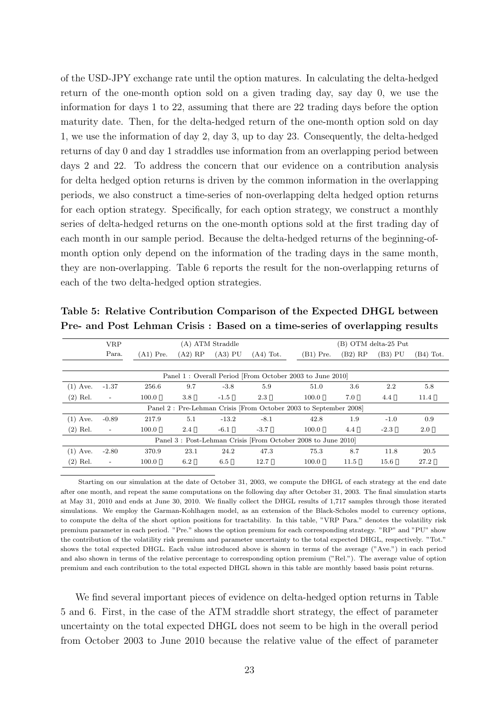of the USD-JPY exchange rate until the option matures. In calculating the delta-hedged return of the one-month option sold on a given trading day, say day 0, we use the information for days 1 to 22, assuming that there are 22 trading days before the option maturity date. Then, for the delta-hedged return of the one-month option sold on day 1, we use the information of day 2, day 3, up to day 23. Consequently, the delta-hedged returns of day 0 and day 1 straddles use information from an overlapping period between days 2 and 22. To address the concern that our evidence on a contribution analysis for delta hedged option returns is driven by the common information in the overlapping periods, we also construct a time-series of non-overlapping delta hedged option returns for each option strategy. Specifically, for each option strategy, we construct a monthly series of delta-hedged returns on the one-month options sold at the first trading day of each month in our sample period. Because the delta-hedged returns of the beginning-ofmonth option only depend on the information of the trading days in the same month, they are non-overlapping. Table 6 reports the result for the non-overlapping returns of each of the two delta-hedged option strategies.

|            | <b>VRP</b>               |             |           | (A) ATM Straddle |             |                                                                  |           | (B) OTM delta-25 Put |             |
|------------|--------------------------|-------------|-----------|------------------|-------------|------------------------------------------------------------------|-----------|----------------------|-------------|
|            | Para.                    | $(A1)$ Pre. | $(A2)$ RP | $(A3)$ PU        | $(A4)$ Tot. | $(B1)$ Pre.                                                      | $(B2)$ RP | (B3) PU              | $(B4)$ Tot. |
|            |                          |             |           |                  |             |                                                                  |           |                      |             |
|            |                          |             |           |                  |             | Panel 1: Overall Period [From October 2003 to June 2010]         |           |                      |             |
| $(1)$ Ave. | $-1.37$                  | 256.6       | 9.7       | $-3.8$           | 5.9         | 51.0                                                             | 3.6       | 2.2                  | 5.8         |
| $(2)$ Rel. | $\overline{\phantom{a}}$ | 100.0       | 3.8       | $-1.5$           | 2.3         | 100.0                                                            | 7.0       | 4.4                  | 11.4        |
|            |                          |             |           |                  |             | Panel 2: Pre-Lehman Crisis [From October 2003 to September 2008] |           |                      |             |
| $(1)$ Ave. | $-0.89$                  | 217.9       | 5.1       | $-13.2$          | $-8.1$      | 42.8                                                             | 1.9       | $-1.0$               | 0.9         |
| $(2)$ Rel. | $\overline{\phantom{a}}$ | 100.0       | 2.4       | $-6.1$           | $-3.7$      | 100.0                                                            | 4.4       | $-2.3$               | $2.0\,$     |
|            |                          |             |           |                  |             | Panel 3: Post-Lehman Crisis [From October 2008 to June 2010]     |           |                      |             |
| $(1)$ Ave. | $-2.80$                  | 370.9       | 23.1      | 24.2             | 47.3        | 75.3                                                             | 8.7       | 11.8                 | 20.5        |
| $(2)$ Rel. | $\overline{\phantom{a}}$ | 100.0       | 6.2       | 6.5              | 12.7        | 100.0                                                            | 11.5      | 15.6                 | 27.2        |

**Table 5: Relative Contribution Comparison of the Expected DHGL between Pre- and Post Lehman Crisis : Based on a time-series of overlapping results**

Starting on our simulation at the date of October 31, 2003, we compute the DHGL of each strategy at the end date after one month, and repeat the same computations on the following day after October 31, 2003. The final simulation starts at May 31, 2010 and ends at June 30, 2010. We finally collect the DHGL results of 1,717 samples through those iterated simulations. We employ the Garman-Kohlhagen model, as an extension of the Black-Scholes model to currency options, to compute the delta of the short option positions for tractability. In this table, "VRP Para." denotes the volatility risk premium parameter in each period. "Pre." shows the option premium for each corresponding strategy. "RP" and "PU" show the contribution of the volatility risk premium and parameter uncertainty to the total expected DHGL, respectively. "Tot." shows the total expected DHGL. Each value introduced above is shown in terms of the average ("Ave.") in each period and also shown in terms of the relative percentage to corresponding option premium ("Rel."). The average value of option premium and each contribution to the total expected DHGL shown in this table are monthly based basis point returns.

We find several important pieces of evidence on delta-hedged option returns in Table 5 and 6. First, in the case of the ATM straddle short strategy, the effect of parameter uncertainty on the total expected DHGL does not seem to be high in the overall period from October 2003 to June 2010 because the relative value of the effect of parameter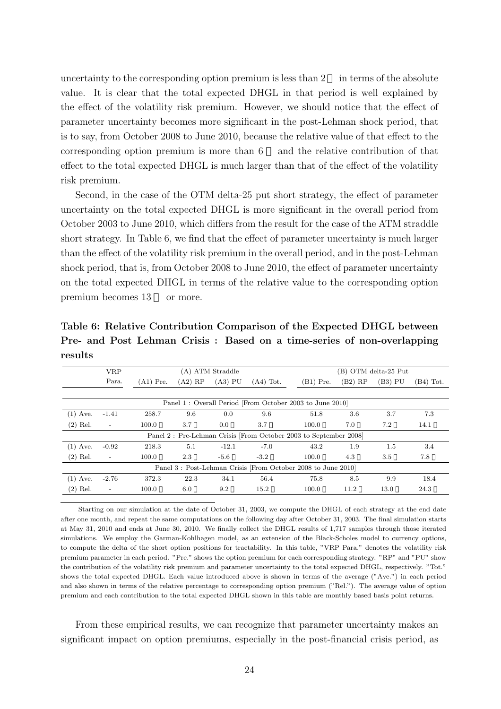uncertainty to the corresponding option premium is less than  $2$  in terms of the absolute value. It is clear that the total expected DHGL in that period is well explained by the effect of the volatility risk premium. However, we should notice that the effect of parameter uncertainty becomes more significant in the post-Lehman shock period, that is to say, from October 2008 to June 2010, because the relative value of that effect to the corresponding option premium is more than 6 and the relative contribution of that effect to the total expected DHGL is much larger than that of the effect of the volatility risk premium.

Second, in the case of the OTM delta-25 put short strategy, the effect of parameter uncertainty on the total expected DHGL is more significant in the overall period from October 2003 to June 2010, which differs from the result for the case of the ATM straddle short strategy. In Table 6, we find that the effect of parameter uncertainty is much larger than the effect of the volatility risk premium in the overall period, and in the post-Lehman shock period, that is, from October 2008 to June 2010, the effect of parameter uncertainty on the total expected DHGL in terms of the relative value to the corresponding option premium becomes 13 or more.

**Table 6: Relative Contribution Comparison of the Expected DHGL between Pre- and Post Lehman Crisis : Based on a time-series of non-overlapping results**

|            | <b>VRP</b>               |             |           | (A) ATM Straddle |             |                                                                  |           | (B) OTM delta-25 Put |             |
|------------|--------------------------|-------------|-----------|------------------|-------------|------------------------------------------------------------------|-----------|----------------------|-------------|
|            | Para.                    | $(A1)$ Pre. | $(A2)$ RP | $(A3)$ PU        | $(A4)$ Tot. | $(B1)$ Pre.                                                      | $(B2)$ RP | (B3) PU              | $(B4)$ Tot. |
|            |                          |             |           |                  |             |                                                                  |           |                      |             |
|            |                          |             |           |                  |             | Panel 1: Overall Period [From October 2003 to June 2010]         |           |                      |             |
| $(1)$ Ave. | $-1.41$                  | 258.7       | 9.6       | 0.0              | 9.6         | 51.8                                                             | 3.6       | 3.7                  | 7.3         |
| $(2)$ Rel. | $\overline{\phantom{a}}$ | 100.0       | 3.7       | 0.0              | 3.7         | 100.0                                                            | 7.0       | 7.2                  | 14.1        |
|            |                          |             |           |                  |             | Panel 2: Pre-Lehman Crisis [From October 2003 to September 2008] |           |                      |             |
| $(1)$ Ave. | $-0.92$                  | 218.3       | 5.1       | $-12.1$          | $-7.0$      | 43.2                                                             | 1.9       | $1.5\,$              | 3.4         |
| $(2)$ Rel. | $\overline{\phantom{a}}$ | 100.0       | 2.3       | $-5.6$           | $-3.2$      | 100.0                                                            | 4.3       | 3.5                  | 7.8         |
|            |                          |             |           |                  |             | Panel 3: Post-Lehman Crisis [From October 2008 to June 2010]     |           |                      |             |
| $(1)$ Ave. | $-2.76$                  | 372.3       | 22.3      | 34.1             | 56.4        | 75.8                                                             | 8.5       | 9.9                  | 18.4        |
| $(2)$ Rel. | $\overline{\phantom{a}}$ | 100.0       | 6.0       | 9.2              | 15.2        | 100.0                                                            | 11.2      | 13.0                 | 24.3        |

Starting on our simulation at the date of October 31, 2003, we compute the DHGL of each strategy at the end date after one month, and repeat the same computations on the following day after October 31, 2003. The final simulation starts at May 31, 2010 and ends at June 30, 2010. We finally collect the DHGL results of 1,717 samples through those iterated simulations. We employ the Garman-Kohlhagen model, as an extension of the Black-Scholes model to currency options, to compute the delta of the short option positions for tractability. In this table, "VRP Para." denotes the volatility risk premium parameter in each period. "Pre." shows the option premium for each corresponding strategy. "RP" and "PU" show the contribution of the volatility risk premium and parameter uncertainty to the total expected DHGL, respectively. "Tot." shows the total expected DHGL. Each value introduced above is shown in terms of the average ("Ave.") in each period and also shown in terms of the relative percentage to corresponding option premium ("Rel."). The average value of option premium and each contribution to the total expected DHGL shown in this table are monthly based basis point returns.

From these empirical results, we can recognize that parameter uncertainty makes an significant impact on option premiums, especially in the post-financial crisis period, as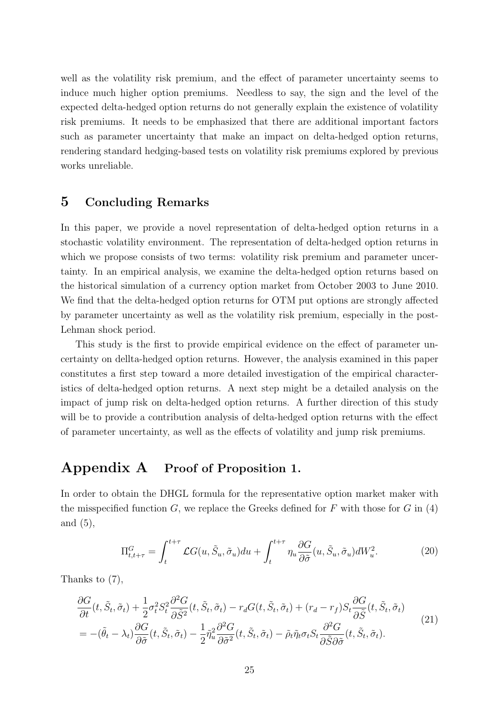well as the volatility risk premium, and the effect of parameter uncertainty seems to induce much higher option premiums. Needless to say, the sign and the level of the expected delta-hedged option returns do not generally explain the existence of volatility risk premiums. It needs to be emphasized that there are additional important factors such as parameter uncertainty that make an impact on delta-hedged option returns, rendering standard hedging-based tests on volatility risk premiums explored by previous works unreliable.

## **5 Concluding Remarks**

In this paper, we provide a novel representation of delta-hedged option returns in a stochastic volatility environment. The representation of delta-hedged option returns in which we propose consists of two terms: volatility risk premium and parameter uncertainty. In an empirical analysis, we examine the delta-hedged option returns based on the historical simulation of a currency option market from October 2003 to June 2010. We find that the delta-hedged option returns for OTM put options are strongly affected by parameter uncertainty as well as the volatility risk premium, especially in the post-Lehman shock period.

This study is the first to provide empirical evidence on the effect of parameter uncertainty on dellta-hedged option returns. However, the analysis examined in this paper constitutes a first step toward a more detailed investigation of the empirical characteristics of delta-hedged option returns. A next step might be a detailed analysis on the impact of jump risk on delta-hedged option returns. A further direction of this study will be to provide a contribution analysis of delta-hedged option returns with the effect of parameter uncertainty, as well as the effects of volatility and jump risk premiums.

## **Appendix A Proof of Proposition 1.**

In order to obtain the DHGL formula for the representative option market maker with the misspecified function  $G$ , we replace the Greeks defined for  $F$  with those for  $G$  in (4) and (5),

$$
\Pi_{t,t+\tau}^G = \int_t^{t+\tau} \mathcal{L}G(u, \tilde{S}_u, \tilde{\sigma}_u) du + \int_t^{t+\tau} \eta_u \frac{\partial G}{\partial \tilde{\sigma}}(u, \tilde{S}_u, \tilde{\sigma}_u) dW_u^2.
$$
 (20)

Thanks to (7),

$$
\frac{\partial G}{\partial t}(t, \tilde{S}_t, \tilde{\sigma}_t) + \frac{1}{2}\sigma_t^2 S_t^2 \frac{\partial^2 G}{\partial \tilde{S}^2}(t, \tilde{S}_t, \tilde{\sigma}_t) - r_d G(t, \tilde{S}_t, \tilde{\sigma}_t) + (r_d - r_f) S_t \frac{\partial G}{\partial \tilde{S}}(t, \tilde{S}_t, \tilde{\sigma}_t)
$$
\n
$$
= -(\tilde{\theta}_t - \lambda_t) \frac{\partial G}{\partial \tilde{\sigma}}(t, \tilde{S}_t, \tilde{\sigma}_t) - \frac{1}{2} \tilde{\eta}_u^2 \frac{\partial^2 G}{\partial \tilde{\sigma}^2}(t, \tilde{S}_t, \tilde{\sigma}_t) - \tilde{\rho}_t \tilde{\eta}_t \sigma_t S_t \frac{\partial^2 G}{\partial \tilde{S} \partial \tilde{\sigma}}(t, \tilde{S}_t, \tilde{\sigma}_t). \tag{21}
$$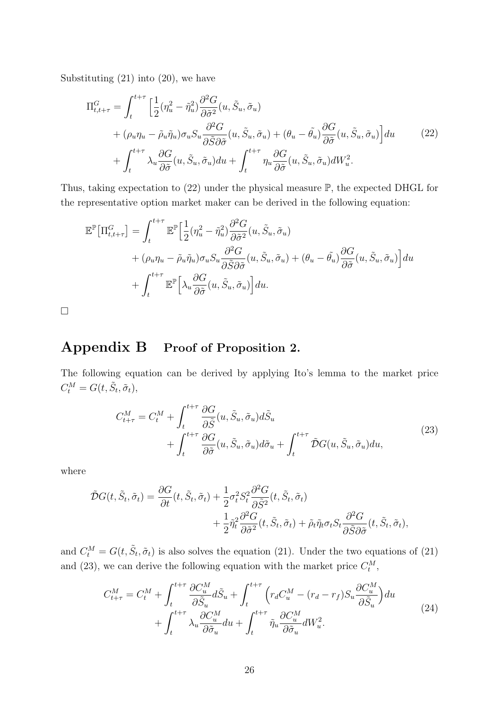Substituting (21) into (20), we have

$$
\Pi_{t,t+\tau}^{G} = \int_{t}^{t+\tau} \left[ \frac{1}{2} (\eta_{u}^{2} - \tilde{\eta}_{u}^{2}) \frac{\partial^{2} G}{\partial \tilde{\sigma}^{2}} (u, \tilde{S}_{u}, \tilde{\sigma}_{u}) \right] + (\rho_{u} \eta_{u} - \tilde{\rho}_{u} \tilde{\eta}_{u}) \sigma_{u} S_{u} \frac{\partial^{2} G}{\partial \tilde{S} \partial \tilde{\sigma}} (u, \tilde{S}_{u}, \tilde{\sigma}_{u}) + (\theta_{u} - \tilde{\theta}_{u}) \frac{\partial G}{\partial \tilde{\sigma}} (u, \tilde{S}_{u}, \tilde{\sigma}_{u}) \right] du \qquad (22)
$$
\n
$$
+ \int_{t}^{t+\tau} \lambda_{u} \frac{\partial G}{\partial \tilde{\sigma}} (u, \tilde{S}_{u}, \tilde{\sigma}_{u}) du + \int_{t}^{t+\tau} \eta_{u} \frac{\partial G}{\partial \tilde{\sigma}} (u, \tilde{S}_{u}, \tilde{\sigma}_{u}) dW_{u}^{2}.
$$

Thus, taking expectation to (22) under the physical measure P, the expected DHGL for the representative option market maker can be derived in the following equation:

$$
\mathbb{E}^{\mathbb{P}}[\Pi_{t,t+\tau}^{G}] = \int_{t}^{t+\tau} \mathbb{E}^{\mathbb{P}}\Big[\frac{1}{2}(\eta_{u}^{2} - \tilde{\eta}_{u}^{2}) \frac{\partial^{2} G}{\partial \tilde{\sigma}^{2}}(u, \tilde{S}_{u}, \tilde{\sigma}_{u}) \n+ (\rho_{u}\eta_{u} - \tilde{\rho}_{u}\tilde{\eta}_{u})\sigma_{u}S_{u} \frac{\partial^{2} G}{\partial \tilde{S}\partial \tilde{\sigma}}(u, \tilde{S}_{u}, \tilde{\sigma}_{u}) + (\theta_{u} - \tilde{\theta}_{u}) \frac{\partial G}{\partial \tilde{\sigma}}(u, \tilde{S}_{u}, \tilde{\sigma}_{u})\Big] du \n+ \int_{t}^{t+\tau} \mathbb{E}^{\mathbb{P}}\Big[\lambda_{u} \frac{\partial G}{\partial \tilde{\sigma}}(u, \tilde{S}_{u}, \tilde{\sigma}_{u})\Big] du.
$$

 $\Box$ 

# **Appendix B Proof of Proposition 2.**

The following equation can be derived by applying Ito's lemma to the market price  $C_t^M = G(t, \tilde{S}_t, \tilde{\sigma}_t),$ 

$$
C_{t+\tau}^{M} = C_{t}^{M} + \int_{t}^{t+\tau} \frac{\partial G}{\partial \tilde{S}}(u, \tilde{S}_{u}, \tilde{\sigma}_{u}) d\tilde{S}_{u}
$$
  
+ 
$$
\int_{t}^{t+\tau} \frac{\partial G}{\partial \tilde{\sigma}}(u, \tilde{S}_{u}, \tilde{\sigma}_{u}) d\tilde{\sigma}_{u} + \int_{t}^{t+\tau} \tilde{\mathcal{D}}G(u, \tilde{S}_{u}, \tilde{\sigma}_{u}) du,
$$
\n(23)

where

$$
\tilde{\mathcal{D}}G(t, \tilde{S}_t, \tilde{\sigma}_t) = \frac{\partial G}{\partial t}(t, \tilde{S}_t, \tilde{\sigma}_t) + \frac{1}{2}\sigma_t^2 S_t^2 \frac{\partial^2 G}{\partial \tilde{S}^2}(t, \tilde{S}_t, \tilde{\sigma}_t) \n+ \frac{1}{2}\tilde{\eta}_t^2 \frac{\partial^2 G}{\partial \tilde{\sigma}^2}(t, \tilde{S}_t, \tilde{\sigma}_t) + \tilde{\rho}_t \tilde{\eta}_t \sigma_t S_t \frac{\partial^2 G}{\partial \tilde{S} \partial \tilde{\sigma}}(t, \tilde{S}_t, \tilde{\sigma}_t),
$$

and  $C_t^M = G(t, \tilde{S}_t, \tilde{\sigma}_t)$  is also solves the equation (21). Under the two equations of (21) and (23), we can derive the following equation with the market price  $C_t^M$ ,

$$
C_{t+\tau}^{M} = C_{t}^{M} + \int_{t}^{t+\tau} \frac{\partial C_{u}^{M}}{\partial \tilde{S}_{u}} d\tilde{S}_{u} + \int_{t}^{t+\tau} \left( r_{d} C_{u}^{M} - (r_{d} - r_{f}) S_{u} \frac{\partial C_{u}^{M}}{\partial \tilde{S}_{u}} \right) du
$$
  
+ 
$$
\int_{t}^{t+\tau} \lambda_{u} \frac{\partial C_{u}^{M}}{\partial \tilde{\sigma}_{u}} du + \int_{t}^{t+\tau} \tilde{\eta}_{u} \frac{\partial C_{u}^{M}}{\partial \tilde{\sigma}_{u}} dW_{u}^{2}.
$$
 (24)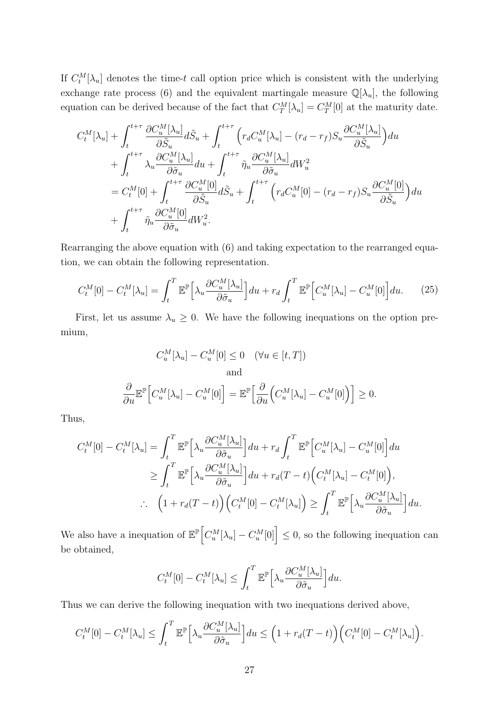If  $C_t^M[\lambda_u]$  denotes the time-*t* call option price which is consistent with the underlying exchange rate process (6) and the equivalent martingale measure  $\mathbb{Q}[\lambda_u]$ , the following equation can be derived because of the fact that  $C_T^M[\lambda_u] = C_T^M[0]$  at the maturity date.

$$
C_t^M[\lambda_u] + \int_t^{t+\tau} \frac{\partial C_u^M[\lambda_u]}{\partial \tilde{S}_u} d\tilde{S}_u + \int_t^{t+\tau} \left( r_d C_u^M[\lambda_u] - (r_d - r_f) S_u \frac{\partial C_u^M[\lambda_u]}{\partial \tilde{S}_u} \right) du
$$
  
+ 
$$
\int_t^{t+\tau} \lambda_u \frac{\partial C_u^M[\lambda_u]}{\partial \tilde{\sigma}_u} du + \int_t^{t+\tau} \tilde{\eta}_u \frac{\partial C_u^M[\lambda_u]}{\partial \tilde{\sigma}_u} dW_u^2
$$
  
= 
$$
C_t^M[0] + \int_t^{t+\tau} \frac{\partial C_u^M[0]}{\partial \tilde{S}_u} d\tilde{S}_u + \int_t^{t+\tau} \left( r_d C_u^M[0] - (r_d - r_f) S_u \frac{\partial C_u^M[0]}{\partial \tilde{S}_u} \right) du
$$
  
+ 
$$
\int_t^{t+\tau} \tilde{\eta}_u \frac{\partial C_u^M[0]}{\partial \tilde{\sigma}_u} dW_u^2.
$$

Rearranging the above equation with (6) and taking expectation to the rearranged equation, we can obtain the following representation.

$$
C_t^M[0] - C_t^M[\lambda_u] = \int_t^T \mathbb{E}^{\mathbb{P}} \Big[ \lambda_u \frac{\partial C_u^M[\lambda_u]}{\partial \tilde{\sigma}_u} \Big] du + r_d \int_t^T \mathbb{E}^{\mathbb{P}} \Big[ C_u^M[\lambda_u] - C_u^M[0] \Big] du. \tag{25}
$$

First, let us assume  $\lambda_u \geq 0$ . We have the following inequations on the option premium,

$$
C_u^M[\lambda_u] - C_u^M[0] \le 0 \quad (\forall u \in [t, T])
$$
  
and  

$$
\frac{\partial}{\partial u} \mathbb{E}^{\mathbb{P}} \Big[ C_u^M[\lambda_u] - C_u^M[0] \Big] = \mathbb{E}^{\mathbb{P}} \Big[ \frac{\partial}{\partial u} \Big( C_u^M[\lambda_u] - C_u^M[0] \Big) \Big] \ge 0.
$$

Thus,

$$
C_t^M[0] - C_t^M[\lambda_u] = \int_t^T \mathbb{E}^{\mathbb{P}} \Big[ \lambda_u \frac{\partial C_u^M[\lambda_u]}{\partial \tilde{\sigma}_u} \Big] du + r_d \int_t^T \mathbb{E}^{\mathbb{P}} \Big[ C_u^M[\lambda_u] - C_u^M[0] \Big] du
$$
  
\n
$$
\geq \int_t^T \mathbb{E}^{\mathbb{P}} \Big[ \lambda_u \frac{\partial C_u^M[\lambda_u]}{\partial \tilde{\sigma}_u} \Big] du + r_d (T - t) \Big( C_t^M[\lambda_u] - C_t^M[0] \Big),
$$
  
\n
$$
\therefore \quad \Big( 1 + r_d (T - t) \Big) \Big( C_t^M[0] - C_t^M[\lambda_u] \Big) \geq \int_t^T \mathbb{E}^{\mathbb{P}} \Big[ \lambda_u \frac{\partial C_u^M[\lambda_u]}{\partial \tilde{\sigma}_u} \Big] du.
$$

We also have a inequation of  $\mathbb{E}^{\mathbb{P}}\Big[C_u^M[\lambda_u] - C_u^M[0]\Big] \leq 0$ , so the following inequation can be obtained,

$$
C_t^M[0] - C_t^M[\lambda_u] \le \int_t^T \mathbb{E}^{\mathbb{P}} \Big[\lambda_u \frac{\partial C_u^M[\lambda_u]}{\partial \tilde{\sigma}_u}\Big] du.
$$

Thus we can derive the following inequation with two inequations derived above,

$$
C_t^M[0] - C_t^M[\lambda_u] \le \int_t^T \mathbb{E}^{\mathbb{P}} \Big[ \lambda_u \frac{\partial C_u^M[\lambda_u]}{\partial \tilde{\sigma}_u} \Big] du \le \Big( 1 + r_d(T - t) \Big) \Big( C_t^M[0] - C_t^M[\lambda_u] \Big).
$$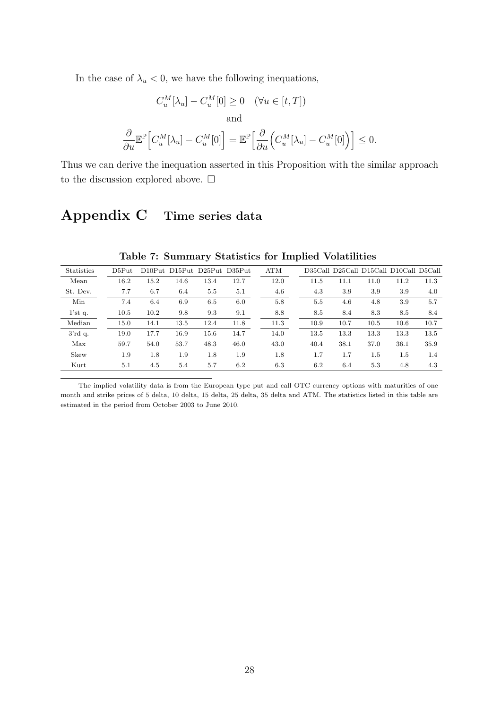In the case of  $\lambda_u < 0$ , we have the following inequations,

$$
C_u^M[\lambda_u] - C_u^M[0] \ge 0 \quad (\forall u \in [t, T])
$$
  
and  

$$
\frac{\partial}{\partial u} \mathbb{E}^{\mathbb{P}} \Big[ C_u^M[\lambda_u] - C_u^M[0] \Big] = \mathbb{E}^{\mathbb{P}} \Big[ \frac{\partial}{\partial u} \Big( C_u^M[\lambda_u] - C_u^M[0] \Big) \Big] \le 0.
$$

Thus we can derive the inequation asserted in this Proposition with the similar approach to the discussion explored above.  $\Box$ 

# **Appendix C Time series data**

| <b>Statistics</b> | D5Put |      | D <sub>10</sub> Put D <sub>15</sub> Put D <sub>25</sub> Put D <sub>35</sub> Put |      |      | <b>ATM</b> |      |      |      | D35Call D25Call D15Call D10Call D5Call |      |
|-------------------|-------|------|---------------------------------------------------------------------------------|------|------|------------|------|------|------|----------------------------------------|------|
| Mean              | 16.2  | 15.2 | 14.6                                                                            | 13.4 | 12.7 | 12.0       | 11.5 | 11.1 | 11.0 | 11.2                                   | 11.3 |
| St. Dev.          | 7.7   | 6.7  | 6.4                                                                             | 5.5  | 5.1  | 4.6        | 4.3  | 3.9  | 3.9  | 3.9                                    | 4.0  |
| Min               | 7.4   | 6.4  | 6.9                                                                             | 6.5  | 6.0  | 5.8        | 5.5  | 4.6  | 4.8  | 3.9                                    | 5.7  |
| 1'stq.            | 10.5  | 10.2 | 9.8                                                                             | 9.3  | 9.1  | 8.8        | 8.5  | 8.4  | 8.3  | 8.5                                    | 8.4  |
| Median            | 15.0  | 14.1 | 13.5                                                                            | 12.4 | 11.8 | 11.3       | 10.9 | 10.7 | 10.5 | 10.6                                   | 10.7 |
| 3'rdq.            | 19.0  | 17.7 | 16.9                                                                            | 15.6 | 14.7 | 14.0       | 13.5 | 13.3 | 13.3 | 13.3                                   | 13.5 |
| Max               | 59.7  | 54.0 | 53.7                                                                            | 48.3 | 46.0 | 43.0       | 40.4 | 38.1 | 37.0 | 36.1                                   | 35.9 |
| Skew              | 1.9   | 1.8  | 1.9                                                                             | 1.8  | 1.9  | 1.8        | 1.7  | 1.7  | 1.5  | 1.5                                    | 1.4  |
| Kurt              | 5.1   | 4.5  | 5.4                                                                             | 5.7  | 6.2  | 6.3        | 6.2  | 6.4  | 5.3  | 4.8                                    | 4.3  |

**Table 7: Summary Statistics for Implied Volatilities**

The implied volatility data is from the European type put and call OTC currency options with maturities of one month and strike prices of 5 delta, 10 delta, 15 delta, 25 delta, 35 delta and ATM. The statistics listed in this table are estimated in the period from October 2003 to June 2010.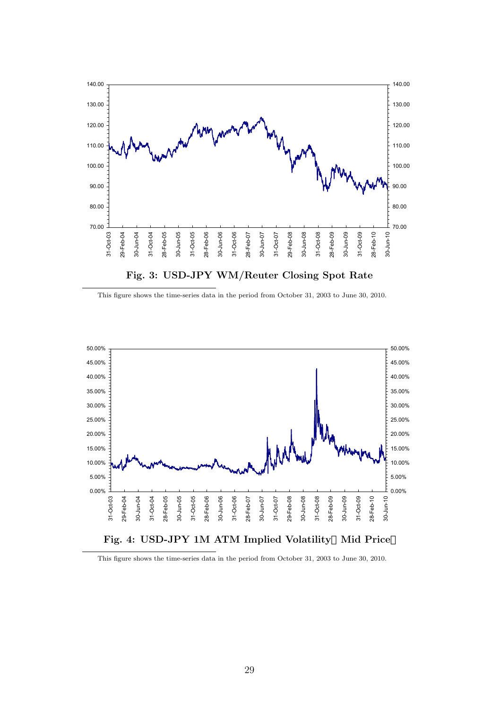

This figure shows the time-series data in the period from October 31, 2003 to June 30, 2010.



This figure shows the time-series data in the period from October 31, 2003 to June 30, 2010.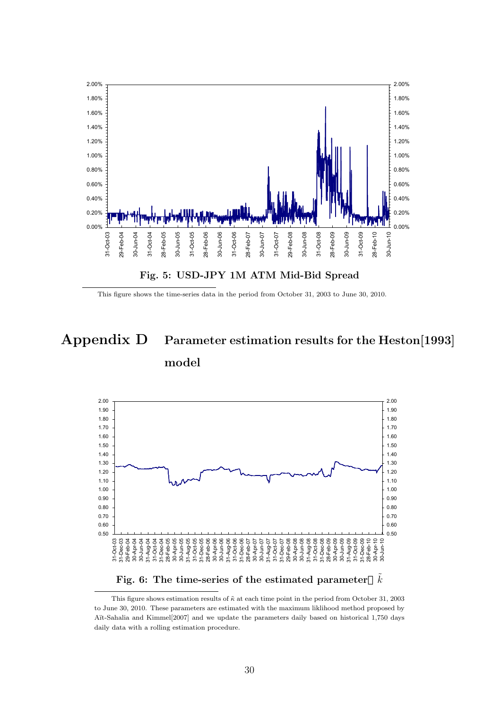

This figure shows the time-series data in the period from October 31, 2003 to June 30, 2010.

# **Appendix D Parameter estimation results for the Heston[1993] model**



Fig. 6: The time-series of the estimated parameter  $\tilde{k}$ 

This figure shows estimation results of  $\tilde{\kappa}$  at each time point in the period from October 31, 2003 to June 30, 2010. These parameters are estimated with the maximum liklihood method proposed by Aït-Sahalia and Kimmel<sup>[2007]</sup> and we update the parameters daily based on historical 1,750 days daily data with a rolling estimation procedure.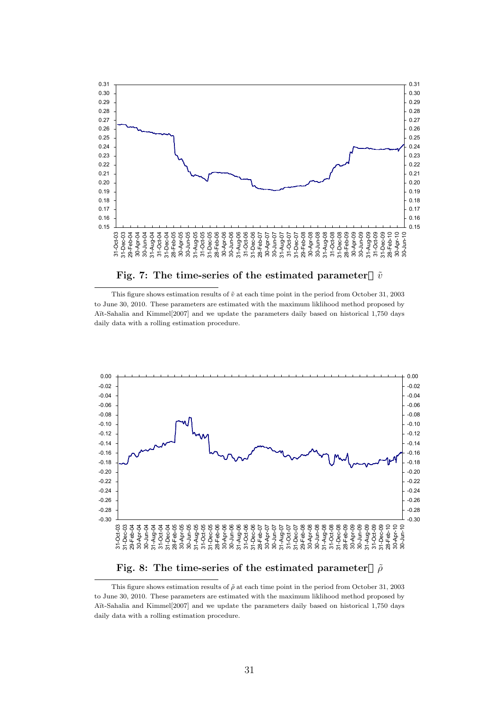

This figure shows estimation results of  $\tilde{v}$  at each time point in the period from October 31, 2003 to June 30, 2010. These parameters are estimated with the maximum liklihood method proposed by Aït-Sahalia and Kimmel<sup>[2007]</sup> and we update the parameters daily based on historical 1,750 days daily data with a rolling estimation procedure.



**Fig. 8:** The time-series of the estimated parameter  $ρ̄$ 

This figure shows estimation results of  $\tilde{\rho}$  at each time point in the period from October 31, 2003 to June 30, 2010. These parameters are estimated with the maximum liklihood method proposed by A¨ıt-Sahalia and Kimmel[2007] and we update the parameters daily based on historical 1,750 days daily data with a rolling estimation procedure.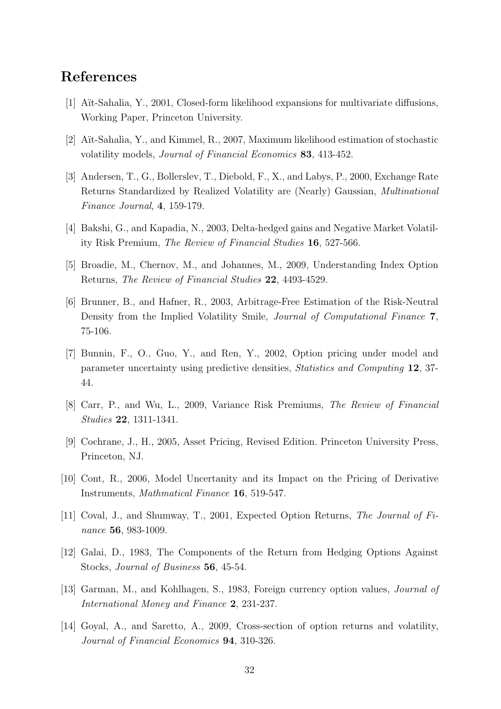## **References**

- [1] A¨ıt-Sahalia, Y., 2001, Closed-form likelihood expansions for multivariate diffusions, Working Paper, Princeton University.
- [2] A¨ıt-Sahalia, Y., and Kimmel, R., 2007, Maximum likelihood estimation of stochastic volatility models, *Journal of Financial Economics* **83**, 413-452.
- [3] Andersen, T., G., Bollerslev, T., Diebold, F., X., and Labys, P., 2000, Exchange Rate Returns Standardized by Realized Volatility are (Nearly) Gaussian, *Multinational Finance Journal*, **4**, 159-179.
- [4] Bakshi, G., and Kapadia, N., 2003, Delta-hedged gains and Negative Market Volatility Risk Premium, *The Review of Financial Studies* **16**, 527-566.
- [5] Broadie, M., Chernov, M., and Johannes, M., 2009, Understanding Index Option Returns, *The Review of Financial Studies* **22**, 4493-4529.
- [6] Brunner, B., and Hafner, R., 2003, Arbitrage-Free Estimation of the Risk-Neutral Density from the Implied Volatility Smile, *Journal of Computational Finance* **7**, 75-106.
- [7] Bunnin, F., O., Guo, Y., and Ren, Y., 2002, Option pricing under model and parameter uncertainty using predictive densities, *Statistics and Computing* **12**, 37- 44.
- [8] Carr, P., and Wu, L., 2009, Variance Risk Premiums, *The Review of Financial Studies* **22**, 1311-1341.
- [9] Cochrane, J., H., 2005, Asset Pricing, Revised Edition. Princeton University Press, Princeton, NJ.
- [10] Cont, R., 2006, Model Uncertanity and its Impact on the Pricing of Derivative Instruments, *Mathmatical Finance* **16**, 519-547.
- [11] Coval, J., and Shumway, T., 2001, Expected Option Returns, *The Journal of Finance* **56**, 983-1009.
- [12] Galai, D., 1983, The Components of the Return from Hedging Options Against Stocks, *Journal of Business* **56**, 45-54.
- [13] Garman, M., and Kohlhagen, S., 1983, Foreign currency option values, *Journal of International Money and Finance* **2**, 231-237.
- [14] Goyal, A., and Saretto, A., 2009, Cross-section of option returns and volatility, *Journal of Financial Economics* **94**, 310-326.